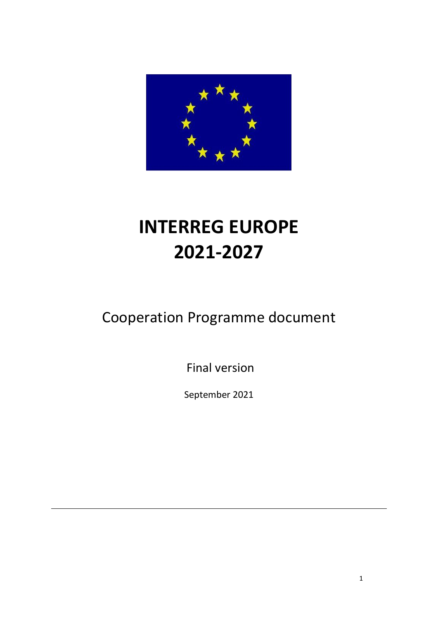

# **INTERREG EUROPE 2021-2027**

# Cooperation Programme document

Final version

September 2021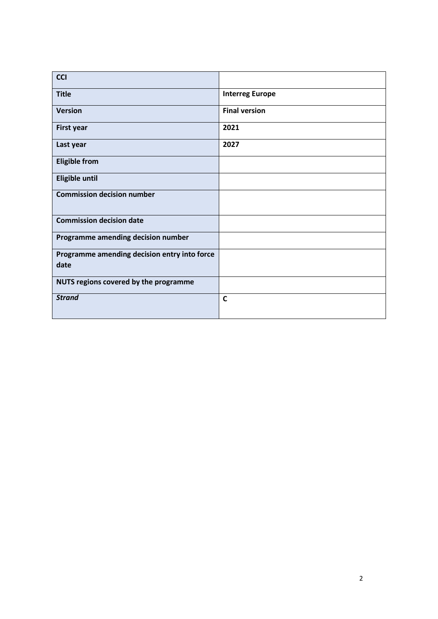| <b>CCI</b>                                           |                        |
|------------------------------------------------------|------------------------|
| <b>Title</b>                                         | <b>Interreg Europe</b> |
| <b>Version</b>                                       | <b>Final version</b>   |
| <b>First year</b>                                    | 2021                   |
| Last year                                            | 2027                   |
| <b>Eligible from</b>                                 |                        |
| <b>Eligible until</b>                                |                        |
| <b>Commission decision number</b>                    |                        |
| <b>Commission decision date</b>                      |                        |
| Programme amending decision number                   |                        |
| Programme amending decision entry into force<br>date |                        |
| NUTS regions covered by the programme                |                        |
| <b>Strand</b>                                        | $\mathbf c$            |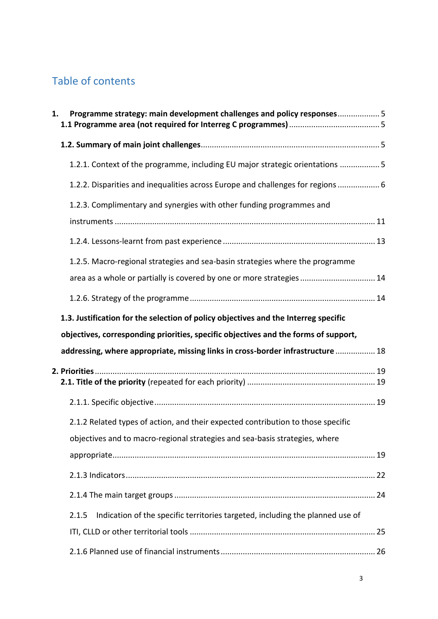# Table of contents

| 1. | Programme strategy: main development challenges and policy responses5                  |  |
|----|----------------------------------------------------------------------------------------|--|
|    |                                                                                        |  |
|    | 1.2.1. Context of the programme, including EU major strategic orientations  5          |  |
|    | 1.2.2. Disparities and inequalities across Europe and challenges for regions  6        |  |
|    | 1.2.3. Complimentary and synergies with other funding programmes and                   |  |
|    |                                                                                        |  |
|    |                                                                                        |  |
|    | 1.2.5. Macro-regional strategies and sea-basin strategies where the programme          |  |
|    | area as a whole or partially is covered by one or more strategies 14                   |  |
|    |                                                                                        |  |
|    | 1.3. Justification for the selection of policy objectives and the Interreg specific    |  |
|    | objectives, corresponding priorities, specific objectives and the forms of support,    |  |
|    | addressing, where appropriate, missing links in cross-border infrastructure  18        |  |
|    |                                                                                        |  |
|    |                                                                                        |  |
|    |                                                                                        |  |
|    | 2.1.2 Related types of action, and their expected contribution to those specific       |  |
|    | objectives and to macro-regional strategies and sea-basis strategies, where            |  |
|    |                                                                                        |  |
|    |                                                                                        |  |
|    |                                                                                        |  |
|    | Indication of the specific territories targeted, including the planned use of<br>2.1.5 |  |
|    |                                                                                        |  |
|    |                                                                                        |  |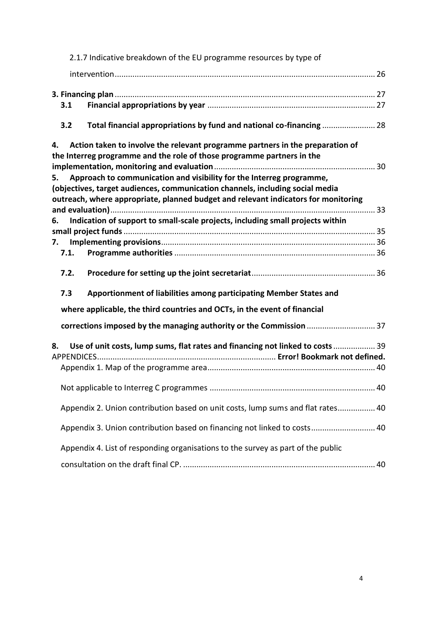|      | 2.1.7 Indicative breakdown of the EU programme resources by type of                                                                                                                                                                         |  |
|------|---------------------------------------------------------------------------------------------------------------------------------------------------------------------------------------------------------------------------------------------|--|
|      |                                                                                                                                                                                                                                             |  |
|      |                                                                                                                                                                                                                                             |  |
| 3.1  |                                                                                                                                                                                                                                             |  |
| 3.2  | Total financial appropriations by fund and national co-financing  28                                                                                                                                                                        |  |
| 4.   | Action taken to involve the relevant programme partners in the preparation of<br>the Interreg programme and the role of those programme partners in the                                                                                     |  |
| 5.   | Approach to communication and visibility for the Interreg programme,<br>(objectives, target audiences, communication channels, including social media<br>outreach, where appropriate, planned budget and relevant indicators for monitoring |  |
| 6.   | Indication of support to small-scale projects, including small projects within                                                                                                                                                              |  |
| 7.   |                                                                                                                                                                                                                                             |  |
| 7.1. |                                                                                                                                                                                                                                             |  |
| 7.2. |                                                                                                                                                                                                                                             |  |
| 7.3  | Apportionment of liabilities among participating Member States and                                                                                                                                                                          |  |
|      | where applicable, the third countries and OCTs, in the event of financial                                                                                                                                                                   |  |
|      | corrections imposed by the managing authority or the Commission  37                                                                                                                                                                         |  |
| 8.   | Use of unit costs, lump sums, flat rates and financing not linked to costs 39                                                                                                                                                               |  |
|      |                                                                                                                                                                                                                                             |  |
|      |                                                                                                                                                                                                                                             |  |
|      | Appendix 2. Union contribution based on unit costs, lump sums and flat rates 40                                                                                                                                                             |  |
|      | Appendix 3. Union contribution based on financing not linked to costs 40                                                                                                                                                                    |  |
|      | Appendix 4. List of responding organisations to the survey as part of the public                                                                                                                                                            |  |
|      |                                                                                                                                                                                                                                             |  |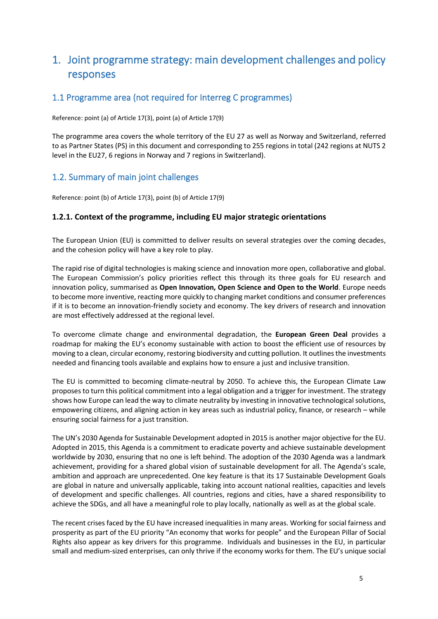# <span id="page-4-0"></span>1. Joint programme strategy: main development challenges and policy responses

# <span id="page-4-1"></span>1.1 Programme area (not required for Interreg C programmes)

Reference: point (a) of Article 17(3), point (a) of Article 17(9)

The programme area covers the whole territory of the EU 27 as well as Norway and Switzerland, referred to as Partner States (PS) in this document and corresponding to 255 regions in total (242 regions at NUTS 2 level in the EU27, 6 regions in Norway and 7 regions in Switzerland).

# <span id="page-4-2"></span>1.2. Summary of main joint challenges

Reference: point (b) of Article 17(3), point (b) of Article 17(9)

### <span id="page-4-3"></span>**1.2.1. Context of the programme, including EU major strategic orientations**

The European Union (EU) is committed to deliver results on several strategies over the coming decades, and the cohesion policy will have a key role to play.

The rapid rise of digital technologies is making science and innovation more open, collaborative and global. The European Commission's policy priorities reflect this through its three goals for EU research and innovation policy, summarised as **Open Innovation, Open Science and Open to the World**. Europe needs to become more inventive, reacting more quickly to changing market conditions and consumer preferences if it is to become an innovation-friendly society and economy. The key drivers of research and innovation are most effectively addressed at the regional level.

To overcome climate change and environmental degradation, the **European Green Deal** provides a roadmap for making the EU's economy sustainable with action to boost the efficient use of resources by moving to a clean, circular economy, restoring biodiversity and cutting pollution. It outlines the investments needed and financing tools available and explains how to ensure a just and inclusive transition.

The EU is committed to becoming climate-neutral by 2050. To achieve this, the European Climate Law proposes to turn this political commitment into a legal obligation and a trigger for investment. The strategy shows how Europe can lead the way to climate neutrality by investing in innovative technological solutions, empowering citizens, and aligning action in key areas such as industrial policy, finance, or research – while ensuring social fairness for a just transition.

The UN's 2030 Agenda for Sustainable Development adopted in 2015 is another major objective for the EU. Adopted in 2015, this Agenda is a commitment to eradicate poverty and achieve sustainable development worldwide by 2030, ensuring that no one is left behind. The adoption of the 2030 Agenda was a landmark achievement, providing for a shared global vision of sustainable development for all. The Agenda's scale, ambition and approach are unprecedented. One key feature is that its 17 Sustainable Development Goals are global in nature and universally applicable, taking into account national realities, capacities and levels of development and specific challenges. All countries, regions and cities, have a shared responsibility to achieve the SDGs, and all have a meaningful role to play locally, nationally as well as at the global scale.

The recent crises faced by the EU have increased inequalities in many areas. Working for social fairness and prosperity as part of the EU priority "An economy that works for people" and the European Pillar of Social Rights also appear as key drivers for this programme. Individuals and businesses in the EU, in particular small and medium-sized enterprises, can only thrive if the economy works for them. The EU's unique social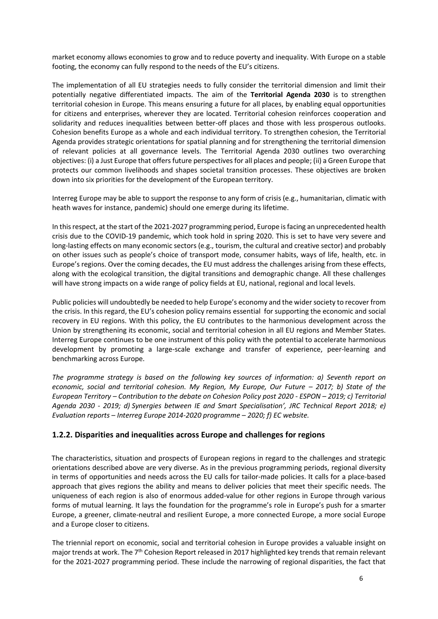market economy allows economies to grow and to reduce poverty and inequality. With Europe on a stable footing, the economy can fully respond to the needs of the EU's citizens.

The implementation of all EU strategies needs to fully consider the territorial dimension and limit their potentially negative differentiated impacts. The aim of the **Territorial Agenda 2030** is to strengthen territorial cohesion in Europe. This means ensuring a future for all places, by enabling equal opportunities for citizens and enterprises, wherever they are located. Territorial cohesion reinforces cooperation and solidarity and reduces inequalities between better‐off places and those with less prosperous outlooks. Cohesion benefits Europe as a whole and each individual territory. To strengthen cohesion, the Territorial Agenda provides strategic orientations for spatial planning and for strengthening the territorial dimension of relevant policies at all governance levels. The Territorial Agenda 2030 outlines two overarching objectives: (i) a Just Europe that offers future perspectives for all places and people; (ii) a Green Europe that protects our common livelihoods and shapes societal transition processes. These objectives are broken down into six priorities for the development of the European territory.

Interreg Europe may be able to support the response to any form of crisis (e.g., humanitarian, climatic with heath waves for instance, pandemic) should one emerge during its lifetime.

In this respect, at the start of the 2021-2027 programming period, Europe is facing an unprecedented health crisis due to the COVID-19 pandemic, which took hold in spring 2020. This is set to have very severe and long-lasting effects on many economic sectors (e.g., tourism, the cultural and creative sector) and probably on other issues such as people's choice of transport mode, consumer habits, ways of life, health, etc. in Europe's regions. Over the coming decades, the EU must address the challenges arising from these effects, along with the ecological transition, the digital transitions and demographic change. All these challenges will have strong impacts on a wide range of policy fields at EU, national, regional and local levels.

Public policies will undoubtedly be needed to help Europe's economy and the wider society to recover from the crisis. In this regard, the EU's cohesion policy remains essential for supporting the economic and social recovery in EU regions. With this policy, the EU contributes to the harmonious development across the Union by strengthening its economic, social and territorial cohesion in all EU regions and Member States. Interreg Europe continues to be one instrument of this policy with the potential to accelerate harmonious development by promoting a large-scale exchange and transfer of experience, peer-learning and benchmarking across Europe.

*The programme strategy is based on the following key sources of information: a) Seventh report on economic, social and territorial cohesion. My Region, My Europe, Our Future – 2017; b) State of the European Territory – Contribution to the debate on Cohesion Policy post 2020 - ESPON – 2019; c) Territorial Agenda 2030 - 2019; d) Synergies between IE and Smart Specialisation', JRC Technical Report 2018; e) Evaluation reports – Interreg Europe 2014-2020 programme – 2020; f) EC website.*

### <span id="page-5-0"></span>**1.2.2. Disparities and inequalities across Europe and challenges for regions**

The characteristics, situation and prospects of European regions in regard to the challenges and strategic orientations described above are very diverse. As in the previous programming periods, regional diversity in terms of opportunities and needs across the EU calls for tailor-made policies. It calls for a place-based approach that gives regions the ability and means to deliver policies that meet their specific needs. The uniqueness of each region is also of enormous added-value for other regions in Europe through various forms of mutual learning. It lays the foundation for the programme's role in Europe's push for a smarter Europe, a greener, climate-neutral and resilient Europe, a more connected Europe, a more social Europe and a Europe closer to citizens.

The triennial report on economic, social and territorial cohesion in Europe provides a valuable insight on major trends at work. The 7<sup>th</sup> Cohesion Report released in 2017 highlighted key trends that remain relevant for the 2021-2027 programming period. These include the narrowing of regional disparities, the fact that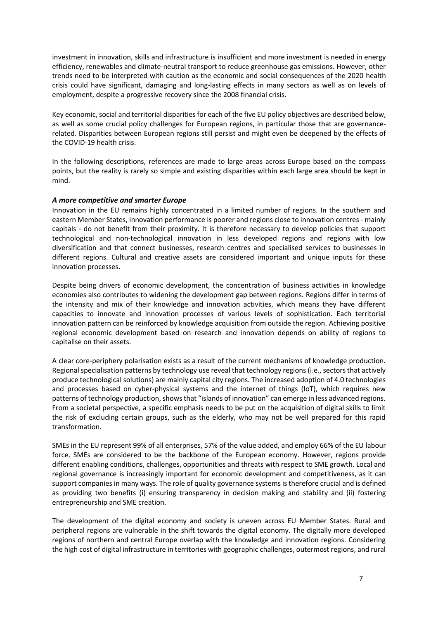investment in innovation, skills and infrastructure is insufficient and more investment is needed in energy efficiency, renewables and climate-neutral transport to reduce greenhouse gas emissions. However, other trends need to be interpreted with caution as the economic and social consequences of the 2020 health crisis could have significant, damaging and long-lasting effects in many sectors as well as on levels of employment, despite a progressive recovery since the 2008 financial crisis.

Key economic, social and territorial disparities for each of the five EU policy objectives are described below, as well as some crucial policy challenges for European regions, in particular those that are governancerelated. Disparities between European regions still persist and might even be deepened by the effects of the COVID-19 health crisis.

In the following descriptions, references are made to large areas across Europe based on the compass points, but the reality is rarely so simple and existing disparities within each large area should be kept in mind.

#### *A more competitive and smarter Europe*

Innovation in the EU remains highly concentrated in a limited number of regions. In the southern and eastern Member States, innovation performance is poorer and regions close to innovation centres - mainly capitals - do not benefit from their proximity. It is therefore necessary to develop policies that support technological and non-technological innovation in less developed regions and regions with low diversification and that connect businesses, research centres and specialised services to businesses in different regions. Cultural and creative assets are considered important and unique inputs for these innovation processes.

Despite being drivers of economic development, the concentration of business activities in knowledge economies also contributes to widening the development gap between regions. Regions differ in terms of the intensity and mix of their knowledge and innovation activities, which means they have different capacities to innovate and innovation processes of various levels of sophistication. Each territorial innovation pattern can be reinforced by knowledge acquisition from outside the region. Achieving positive regional economic development based on research and innovation depends on ability of regions to capitalise on their assets.

A clear core-periphery polarisation exists as a result of the current mechanisms of knowledge production. Regional specialisation patterns by technology use reveal that technology regions (i.e., sectors that actively produce technological solutions) are mainly capital city regions. The increased adoption of 4.0 technologies and processes based on cyber-physical systems and the internet of things (IoT), which requires new patterns of technology production, shows that "islands of innovation" can emerge in less advanced regions. From a societal perspective, a specific emphasis needs to be put on the acquisition of digital skills to limit the risk of excluding certain groups, such as the elderly, who may not be well prepared for this rapid transformation.

SMEs in the EU represent 99% of all enterprises, 57% of the value added, and employ 66% of the EU labour force. SMEs are considered to be the backbone of the European economy. However, regions provide different enabling conditions, challenges, opportunities and threats with respect to SME growth. Local and regional governance is increasingly important for economic development and competitiveness, as it can support companies in many ways. The role of quality governance systems is therefore crucial and is defined as providing two benefits (i) ensuring transparency in decision making and stability and (ii) fostering entrepreneurship and SME creation.

The development of the digital economy and society is uneven across EU Member States. Rural and peripheral regions are vulnerable in the shift towards the digital economy. The digitally more developed regions of northern and central Europe overlap with the knowledge and innovation regions. Considering the high cost of digital infrastructure in territories with geographic challenges, outermost regions, and rural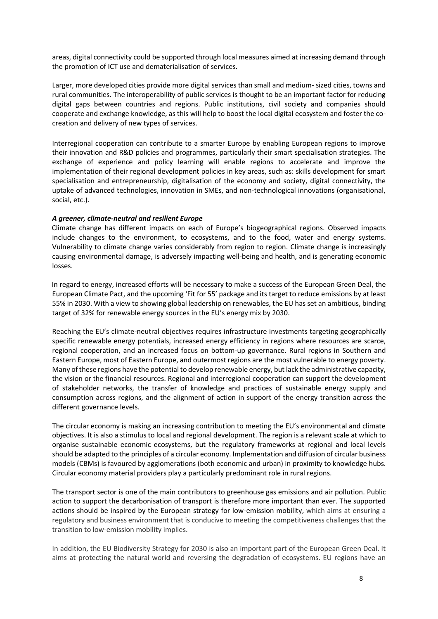areas, digital connectivity could be supported through local measures aimed at increasing demand through the promotion of ICT use and dematerialisation of services.

Larger, more developed cities provide more digital services than small and medium- sized cities, towns and rural communities. The interoperability of public services is thought to be an important factor for reducing digital gaps between countries and regions. Public institutions, civil society and companies should cooperate and exchange knowledge, as this will help to boost the local digital ecosystem and foster the cocreation and delivery of new types of services.

Interregional cooperation can contribute to a smarter Europe by enabling European regions to improve their innovation and R&D policies and programmes, particularly their smart specialisation strategies. The exchange of experience and policy learning will enable regions to accelerate and improve the implementation of their regional development policies in key areas, such as: skills development for smart specialisation and entrepreneurship, digitalisation of the economy and society, digital connectivity, the uptake of advanced technologies, innovation in SMEs, and non-technological innovations (organisational, social, etc.).

#### *A greener, climate-neutral and resilient Europe*

Climate change has different impacts on each of Europe's biogeographical regions. Observed impacts include changes to the environment, to ecosystems, and to the food, water and energy systems. Vulnerability to climate change varies considerably from region to region. Climate change is increasingly causing environmental damage, is adversely impacting well-being and health, and is generating economic losses.

In regard to energy, increased efforts will be necessary to make a success of the European Green Deal, the European Climate Pact, and the upcoming 'Fit for 55' package and its target to reduce emissions by at least 55% in 2030. With a view to showing global leadership on renewables, the EU has set an ambitious, binding target of 32% for [renewable energy](https://ec.europa.eu/energy/en/topics/renewable-energy) sources in the EU's energy mix by 2030.

Reaching the EU's climate-neutral objectives requires infrastructure investments targeting geographically specific renewable energy potentials, increased energy efficiency in regions where resources are scarce, regional cooperation, and an increased focus on bottom-up governance. Rural regions in Southern and Eastern Europe, most of Eastern Europe, and outermost regions are the most vulnerable to energy poverty. Many of these regions have the potential to develop renewable energy, but lack the administrative capacity, the vision or the financial resources. Regional and interregional cooperation can support the development of stakeholder networks, the transfer of knowledge and practices of sustainable energy supply and consumption across regions, and the alignment of action in support of the energy transition across the different governance levels.

The circular economy is making an increasing contribution to meeting the EU's environmental and climate objectives. It is also a stimulus to local and regional development. The region is a relevant scale at which to organise sustainable economic ecosystems, but the regulatory frameworks at regional and local levels should be adapted to the principles of a circular economy. Implementation and diffusion of circular business models (CBMs) is favoured by agglomerations (both economic and urban) in proximity to knowledge hubs. Circular economy material providers play a particularly predominant role in rural regions.

The transport sector is one of the main contributors to greenhouse gas emissions and air pollution. Public action to support the decarbonisation of transport is therefore more important than ever. The supported actions should be inspired by the European strategy for low-emission mobility, which aims at ensuring a regulatory and business environment that is conducive to meeting the competitiveness challenges that the transition to low-emission mobility implies.

In addition, the EU Biodiversity Strategy for 2030 is also an important part of the European Green Deal. It aims at protecting the natural world and reversing the degradation of ecosystems. EU regions have an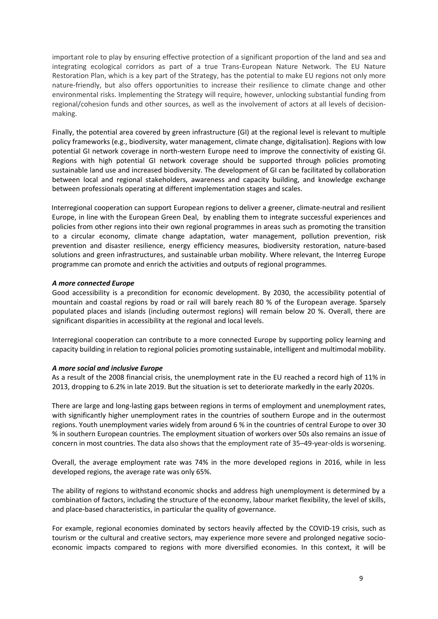important role to play by ensuring effective protection of a significant proportion of the land and sea and integrating ecological corridors as part of a true Trans-European Nature Network. The EU Nature Restoration Plan, which is a key part of the Strategy, has the potential to make EU regions not only more nature-friendly, but also offers opportunities to increase their resilience to climate change and other environmental risks. Implementing the Strategy will require, however, unlocking substantial funding from regional/cohesion funds and other sources, as well as the involvement of actors at all levels of decisionmaking.

Finally, the potential area covered by green infrastructure (GI) at the regional level is relevant to multiple policy frameworks (e.g., biodiversity, water management, climate change, digitalisation). Regions with low potential GI network coverage in north-western Europe need to improve the connectivity of existing GI. Regions with high potential GI network coverage should be supported through policies promoting sustainable land use and increased biodiversity. The development of GI can be facilitated by collaboration between local and regional stakeholders, awareness and capacity building, and knowledge exchange between professionals operating at different implementation stages and scales.

Interregional cooperation can support European regions to deliver a greener, climate-neutral and resilient Europe, in line with the European Green Deal, by enabling them to integrate successful experiences and policies from other regions into their own regional programmes in areas such as promoting the transition to a circular economy, climate change adaptation, water management, pollution prevention, risk prevention and disaster resilience, energy efficiency measures, biodiversity restoration, nature-based solutions and green infrastructures, and sustainable urban mobility. Where relevant, the Interreg Europe programme can promote and enrich the activities and outputs of regional programmes.

#### *A more connected Europe*

Good accessibility is a precondition for economic development. By 2030, the accessibility potential of mountain and coastal regions by road or rail will barely reach 80 % of the European average. Sparsely populated places and islands (including outermost regions) will remain below 20 %. Overall, there are significant disparities in accessibility at the regional and local levels.

Interregional cooperation can contribute to a more connected Europe by supporting policy learning and capacity building in relation to regional policies promoting sustainable, intelligent and multimodal mobility.

#### *A more social and inclusive Europe*

As a result of the 2008 financial crisis, the unemployment rate in the EU reached a record high of 11% in 2013, dropping to 6.2% in late 2019. But the situation is set to deteriorate markedly in the early 2020s.

There are large and long-lasting gaps between regions in terms of employment and unemployment rates, with significantly higher unemployment rates in the countries of southern Europe and in the outermost regions. Youth unemployment varies widely from around 6 % in the countries of central Europe to over 30 % in southern European countries. The employment situation of workers over 50s also remains an issue of concern in most countries. The data also shows that the employment rate of 35–49-year-olds is worsening.

Overall, the average employment rate was 74% in the more developed regions in 2016, while in less developed regions, the average rate was only 65%.

The ability of regions to withstand economic shocks and address high unemployment is determined by a combination of factors, including the structure of the economy, labour market flexibility, the level of skills, and place-based characteristics, in particular the quality of governance.

For example, regional economies dominated by sectors heavily affected by the COVID-19 crisis, such as tourism or the cultural and creative sectors, may experience more severe and prolonged negative socioeconomic impacts compared to regions with more diversified economies. In this context, it will be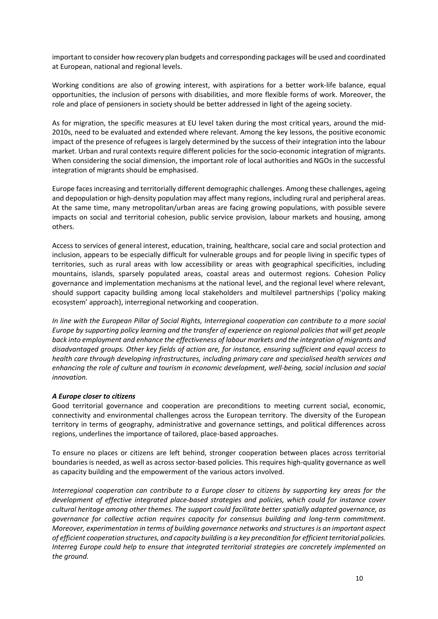important to consider how recovery plan budgets and corresponding packages will be used and coordinated at European, national and regional levels.

Working conditions are also of growing interest, with aspirations for a better work-life balance, equal opportunities, the inclusion of persons with disabilities, and more flexible forms of work. Moreover, the role and place of pensioners in society should be better addressed in light of the ageing society.

As for migration, the specific measures at EU level taken during the most critical years, around the mid-2010s, need to be evaluated and extended where relevant. Among the key lessons, the positive economic impact of the presence of refugees is largely determined by the success of their integration into the labour market. Urban and rural contexts require different policies for the socio-economic integration of migrants. When considering the social dimension, the important role of local authorities and NGOs in the successful integration of migrants should be emphasised.

Europe faces increasing and territorially different demographic challenges. Among these challenges, ageing and depopulation or high-density population may affect many regions, including rural and peripheral areas. At the same time, many metropolitan/urban areas are facing growing populations, with possible severe impacts on social and territorial cohesion, public service provision, labour markets and housing, among others.

Access to services of general interest, education, training, healthcare, social care and social protection and inclusion, appears to be especially difficult for vulnerable groups and for people living in specific types of territories, such as rural areas with low accessibility or areas with geographical specificities, including mountains, islands, sparsely populated areas, coastal areas and outermost regions. Cohesion Policy governance and implementation mechanisms at the national level, and the regional level where relevant, should support capacity building among local stakeholders and multilevel partnerships ('policy making ecosystem' approach), interregional networking and cooperation.

*In line with the European Pillar of Social Rights, Interregional cooperation can contribute to a more social Europe by supporting policy learning and the transfer of experience on regional policies that will get people back into employment and enhance the effectiveness of labour markets and the integration of migrants and disadvantaged groups. Other key fields of action are, for instance, ensuring sufficient and equal access to health care through developing infrastructures, including primary care and specialised health services and enhancing the role of culture and tourism in economic development, well-being, social inclusion and social innovation.*

#### *A Europe closer to citizens*

Good territorial governance and cooperation are preconditions to meeting current social, economic, connectivity and environmental challenges across the European territory. The diversity of the European territory in terms of geography, administrative and governance settings, and political differences across regions, underlines the importance of tailored, place-based approaches.

To ensure no places or citizens are left behind, stronger cooperation between places across territorial boundaries is needed, as well as across sector-based policies. This requires high-quality governance as well as capacity building and the empowerment of the various actors involved.

*Interregional cooperation can contribute to a Europe closer to citizens by supporting key areas for the development of effective integrated place-based strategies and policies, which could for instance cover cultural heritage among other themes. The support could facilitate better spatially adapted governance, as governance for collective action requires capacity for consensus building and long-term commitment. Moreover, experimentation in terms of building governance networks and structures is an important aspect of efficient cooperation structures, and capacity building is a key precondition for efficient territorial policies. Interreg Europe could help to ensure that integrated territorial strategies are concretely implemented on the ground.*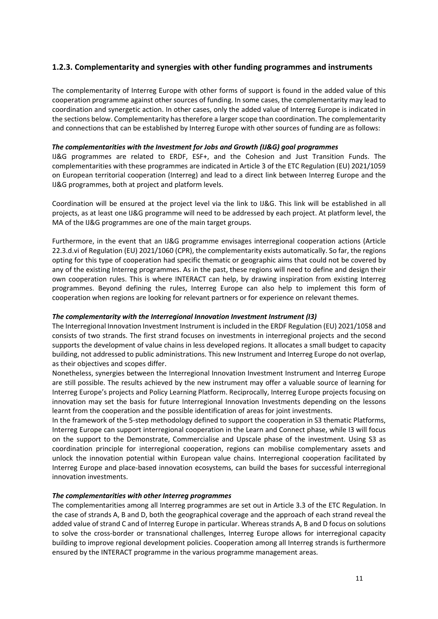### <span id="page-10-0"></span>**1.2.3. Complementarity and synergies with other funding programmes and instruments**

The complementarity of Interreg Europe with other forms of support is found in the added value of this cooperation programme against other sources of funding. In some cases, the complementarity may lead to coordination and synergetic action. In other cases, only the added value of Interreg Europe is indicated in the sections below. Complementarity has therefore a larger scope than coordination. The complementarity and connections that can be established by Interreg Europe with other sources of funding are as follows:

#### *The complementarities with the Investment for Jobs and Growth (IJ&G) goal programmes*

IJ&G programmes are related to ERDF, ESF+, and the Cohesion and Just Transition Funds. The complementarities with these programmes are indicated in Article 3 of the ETC Regulation (EU) 2021/1059 on European territorial cooperation (Interreg) and lead to a direct link between Interreg Europe and the IJ&G programmes, both at project and platform levels.

Coordination will be ensured at the project level via the link to IJ&G. This link will be established in all projects, as at least one IJ&G programme will need to be addressed by each project. At platform level, the MA of the IJ&G programmes are one of the main target groups.

Furthermore, in the event that an IJ&G programme envisages interregional cooperation actions (Article 22.3.d.vi of Regulation (EU) 2021/1060 (CPR), the complementarity exists automatically. So far, the regions opting for this type of cooperation had specific thematic or geographic aims that could not be covered by any of the existing Interreg programmes. As in the past, these regions will need to define and design their own cooperation rules. This is where INTERACT can help, by drawing inspiration from existing Interreg programmes. Beyond defining the rules, Interreg Europe can also help to implement this form of cooperation when regions are looking for relevant partners or for experience on relevant themes.

#### *The complementarity with the Interregional Innovation Investment Instrument (I3)*

The Interregional Innovation Investment Instrument is included in the ERDF Regulation (EU) 2021/1058 and consists of two strands. The first strand focuses on investments in interregional projects and the second supports the development of value chains in less developed regions. It allocates a small budget to capacity building, not addressed to public administrations. This new Instrument and Interreg Europe do not overlap, as their objectives and scopes differ.

Nonetheless, synergies between the Interregional Innovation Investment Instrument and Interreg Europe are still possible. The results achieved by the new instrument may offer a valuable source of learning for Interreg Europe's projects and Policy Learning Platform. Reciprocally, Interreg Europe projects focusing on innovation may set the basis for future Interregional Innovation Investments depending on the lessons learnt from the cooperation and the possible identification of areas for joint investments.

In the framework of the 5-step methodology defined to support the cooperation in S3 thematic Platforms, Interreg Europe can support interregional cooperation in the Learn and Connect phase, while I3 will focus on the support to the Demonstrate, Commercialise and Upscale phase of the investment. Using S3 as coordination principle for interregional cooperation, regions can mobilise complementary assets and unlock the innovation potential within European value chains. Interregional cooperation facilitated by Interreg Europe and place-based innovation ecosystems, can build the bases for successful interregional innovation investments.

#### *The complementarities with other Interreg programmes*

The complementarities among all Interreg programmes are set out in Article 3.3 of the ETC Regulation. In the case of strands A, B and D, both the geographical coverage and the approach of each strand reveal the added value of strand C and of Interreg Europe in particular. Whereas strands A, B and D focus on solutions to solve the cross-border or transnational challenges, Interreg Europe allows for interregional capacity building to improve regional development policies. Cooperation among all Interreg strands is furthermore ensured by the INTERACT programme in the various programme management areas.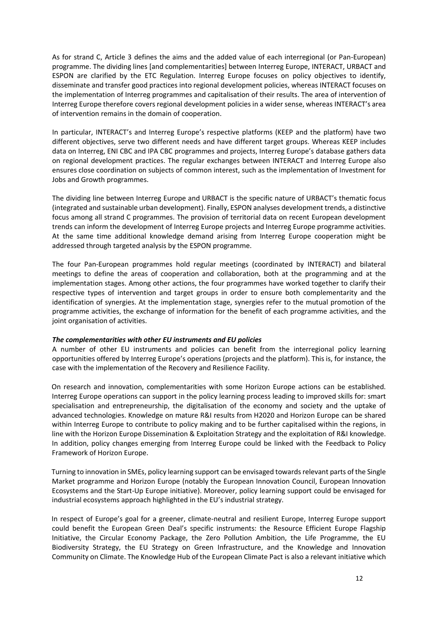As for strand C, Article 3 defines the aims and the added value of each interregional (or Pan-European) programme. The dividing lines [and complementarities] between Interreg Europe, INTERACT, URBACT and ESPON are clarified by the ETC Regulation. Interreg Europe focuses on policy objectives to identify, disseminate and transfer good practices into regional development policies, whereas INTERACT focuses on the implementation of Interreg programmes and capitalisation of their results. The area of intervention of Interreg Europe therefore covers regional development policies in a wider sense, whereas INTERACT's area of intervention remains in the domain of cooperation.

In particular, INTERACT's and Interreg Europe's respective platforms (KEEP and the platform) have two different objectives, serve two different needs and have different target groups. Whereas KEEP includes data on Interreg, ENI CBC and IPA CBC programmes and projects, Interreg Europe's database gathers data on regional development practices. The regular exchanges between INTERACT and Interreg Europe also ensures close coordination on subjects of common interest, such as the implementation of Investment for Jobs and Growth programmes.

The dividing line between Interreg Europe and URBACT is the specific nature of URBACT's thematic focus (integrated and sustainable urban development). Finally, ESPON analyses development trends, a distinctive focus among all strand C programmes. The provision of territorial data on recent European development trends can inform the development of Interreg Europe projects and Interreg Europe programme activities. At the same time additional knowledge demand arising from Interreg Europe cooperation might be addressed through targeted analysis by the ESPON programme.

The four Pan-European programmes hold regular meetings (coordinated by INTERACT) and bilateral meetings to define the areas of cooperation and collaboration, both at the programming and at the implementation stages. Among other actions, the four programmes have worked together to clarify their respective types of intervention and target groups in order to ensure both complementarity and the identification of synergies. At the implementation stage, synergies refer to the mutual promotion of the programme activities, the exchange of information for the benefit of each programme activities, and the joint organisation of activities.

#### *The complementarities with other EU instruments and EU policies*

A number of other EU instruments and policies can benefit from the interregional policy learning opportunities offered by Interreg Europe's operations (projects and the platform). This is, for instance, the case with the implementation of the Recovery and Resilience Facility.

On research and innovation, complementarities with some Horizon Europe actions can be established. Interreg Europe operations can support in the policy learning process leading to improved skills for: smart specialisation and entrepreneurship, the digitalisation of the economy and society and the uptake of advanced technologies. Knowledge on mature R&I results from H2020 and Horizon Europe can be shared within Interreg Europe to contribute to policy making and to be further capitalised within the regions, in line with the Horizon Europe Dissemination & Exploitation Strategy and the exploitation of R&I knowledge. In addition, policy changes emerging from Interreg Europe could be linked with the Feedback to Policy Framework of Horizon Europe.

Turning to innovation in SMEs, policy learning support can be envisaged towards relevant parts of the Single Market programme and Horizon Europe (notably the European Innovation Council, European Innovation Ecosystems and the Start-Up Europe initiative). Moreover, policy learning support could be envisaged for industrial ecosystems approach highlighted in the EU's industrial strategy.

In respect of Europe's goal for a greener, climate-neutral and resilient Europe, Interreg Europe support could benefit the European Green Deal's specific instruments: the Resource Efficient Europe Flagship Initiative, the Circular Economy Package, the Zero Pollution Ambition, the Life Programme, the EU Biodiversity Strategy, the EU Strategy on Green Infrastructure, and the Knowledge and Innovation Community on Climate. The Knowledge Hub of the European Climate Pact is also a relevant initiative which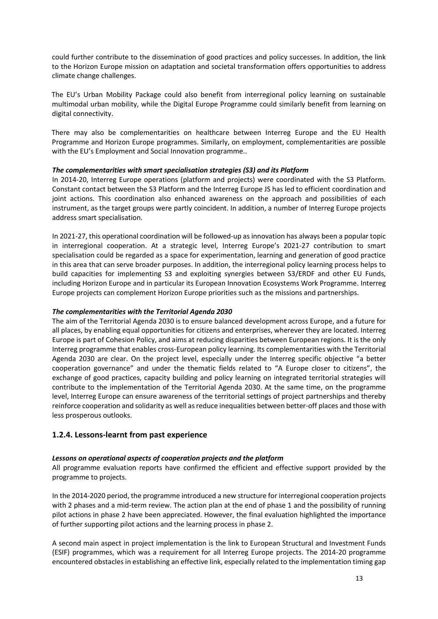could further contribute to the dissemination of good practices and policy successes. In addition, the link to the Horizon Europe mission on adaptation and societal transformation offers opportunities to address climate change challenges.

The EU's Urban Mobility Package could also benefit from interregional policy learning on sustainable multimodal urban mobility, while the Digital Europe Programme could similarly benefit from learning on digital connectivity.

There may also be complementarities on healthcare between Interreg Europe and the EU Health Programme and Horizon Europe programmes. Similarly, on employment, complementarities are possible with the EU's Employment and Social Innovation programme..

#### *The complementarities with smart specialisation strategies (S3) and its Platform*

In 2014-20, Interreg Europe operations (platform and projects) were coordinated with the S3 Platform. Constant contact between the S3 Platform and the Interreg Europe JS has led to efficient coordination and joint actions. This coordination also enhanced awareness on the approach and possibilities of each instrument, as the target groups were partly coincident. In addition, a number of Interreg Europe projects address smart specialisation.

In 2021-27, this operational coordination will be followed-up as innovation has always been a popular topic in interregional cooperation. At a strategic level, Interreg Europe's 2021-27 contribution to smart specialisation could be regarded as a space for experimentation, learning and generation of good practice in this area that can serve broader purposes. In addition, the interregional policy learning process helps to build capacities for implementing S3 and exploiting synergies between S3/ERDF and other EU Funds, including Horizon Europe and in particular its European Innovation Ecosystems Work Programme. Interreg Europe projects can complement Horizon Europe priorities such as the missions and partnerships.

#### *The complementarities with the Territorial Agenda 2030*

The aim of the Territorial Agenda 2030 is to ensure balanced development across Europe, and a future for all places, by enabling equal opportunities for citizens and enterprises, wherever they are located. Interreg Europe is part of Cohesion Policy, and aims at reducing disparities between European regions. It is the only Interreg programme that enables cross-European policy learning. Its complementarities with the Territorial Agenda 2030 are clear. On the project level, especially under the Interreg specific objective "a better cooperation governance" and under the thematic fields related to "A Europe closer to citizens", the exchange of good practices, capacity building and policy learning on integrated territorial strategies will contribute to the implementation of the Territorial Agenda 2030. At the same time, on the programme level, Interreg Europe can ensure awareness of the territorial settings of project partnerships and thereby reinforce cooperation and solidarity as well as reduce inequalities between better‐off places and those with less prosperous outlooks.

#### <span id="page-12-0"></span>**1.2.4. Lessons-learnt from past experience**

#### *Lessons on operational aspects of cooperation projects and the platform*

All programme evaluation reports have confirmed the efficient and effective support provided by the programme to projects.

In the 2014-2020 period, the programme introduced a new structure for interregional cooperation projects with 2 phases and a mid-term review. The action plan at the end of phase 1 and the possibility of running pilot actions in phase 2 have been appreciated. However, the final evaluation highlighted the importance of further supporting pilot actions and the learning process in phase 2.

A second main aspect in project implementation is the link to European Structural and Investment Funds (ESIF) programmes, which was a requirement for all Interreg Europe projects. The 2014-20 programme encountered obstacles in establishing an effective link, especially related to the implementation timing gap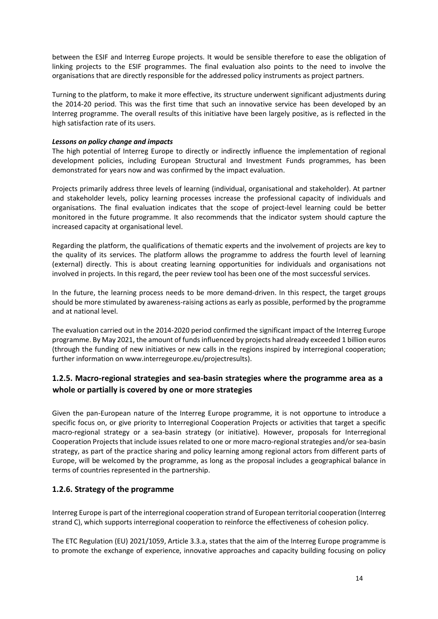between the ESIF and Interreg Europe projects. It would be sensible therefore to ease the obligation of linking projects to the ESIF programmes. The final evaluation also points to the need to involve the organisations that are directly responsible for the addressed policy instruments as project partners.

Turning to the platform, to make it more effective, its structure underwent significant adjustments during the 2014-20 period. This was the first time that such an innovative service has been developed by an Interreg programme. The overall results of this initiative have been largely positive, as is reflected in the high satisfaction rate of its users.

#### *Lessons on policy change and impacts*

The high potential of Interreg Europe to directly or indirectly influence the implementation of regional development policies, including European Structural and Investment Funds programmes, has been demonstrated for years now and was confirmed by the impact evaluation.

Projects primarily address three levels of learning (individual, organisational and stakeholder). At partner and stakeholder levels, policy learning processes increase the professional capacity of individuals and organisations. The final evaluation indicates that the scope of project-level learning could be better monitored in the future programme. It also recommends that the indicator system should capture the increased capacity at organisational level.

Regarding the platform, the qualifications of thematic experts and the involvement of projects are key to the quality of its services. The platform allows the programme to address the fourth level of learning (external) directly. This is about creating learning opportunities for individuals and organisations not involved in projects. In this regard, the peer review tool has been one of the most successful services.

In the future, the learning process needs to be more demand-driven. In this respect, the target groups should be more stimulated by awareness-raising actions as early as possible, performed by the programme and at national level.

The evaluation carried out in the 2014-2020 period confirmed the significant impact of the Interreg Europe programme. By May 2021, the amount of funds influenced by projects had already exceeded 1 billion euros (through the funding of new initiatives or new calls in the regions inspired by interregional cooperation; further information on www.interregeurope.eu/projectresults).

# <span id="page-13-0"></span>**1.2.5. Macro-regional strategies and sea-basin strategies where the programme area as a whole or partially is covered by one or more strategies**

Given the pan-European nature of the Interreg Europe programme, it is not opportune to introduce a specific focus on, or give priority to Interregional Cooperation Projects or activities that target a specific macro-regional strategy or a sea-basin strategy (or initiative). However, proposals for Interregional Cooperation Projects that include issues related to one or more macro-regional strategies and/or sea-basin strategy, as part of the practice sharing and policy learning among regional actors from different parts of Europe, will be welcomed by the programme, as long as the proposal includes a geographical balance in terms of countries represented in the partnership.

### <span id="page-13-1"></span>**1.2.6. Strategy of the programme**

Interreg Europe is part of the interregional cooperation strand of European territorial cooperation (Interreg strand C), which supports interregional cooperation to reinforce the effectiveness of cohesion policy.

The ETC Regulation (EU) 2021/1059, Article 3.3.a, states that the aim of the Interreg Europe programme is to promote the exchange of experience, innovative approaches and capacity building focusing on policy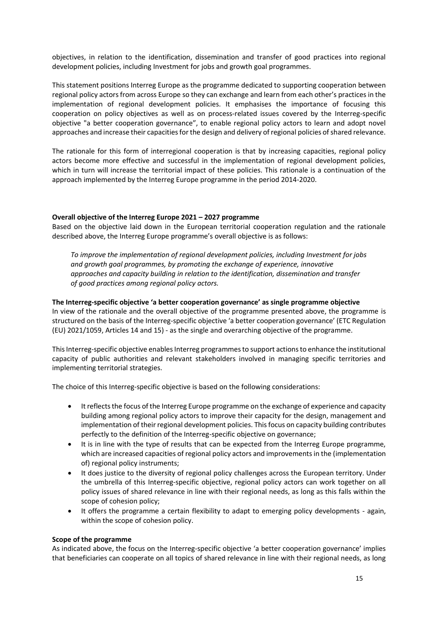objectives, in relation to the identification, dissemination and transfer of good practices into regional development policies, including Investment for jobs and growth goal programmes.

This statement positions Interreg Europe as the programme dedicated to supporting cooperation between regional policy actors from across Europe so they can exchange and learn from each other's practices in the implementation of regional development policies. It emphasises the importance of focusing this cooperation on policy objectives as well as on process-related issues covered by the Interreg-specific objective "a better cooperation governance", to enable regional policy actors to learn and adopt novel approaches and increase their capacities for the design and delivery of regional policies of shared relevance.

The rationale for this form of interregional cooperation is that by increasing capacities, regional policy actors become more effective and successful in the implementation of regional development policies, which in turn will increase the territorial impact of these policies. This rationale is a continuation of the approach implemented by the Interreg Europe programme in the period 2014-2020.

#### **Overall objective of the Interreg Europe 2021 – 2027 programme**

Based on the objective laid down in the European territorial cooperation regulation and the rationale described above, the Interreg Europe programme's overall objective is as follows:

*To improve the implementation of regional development policies, including Investment for jobs and growth goal programmes, by promoting the exchange of experience, innovative approaches and capacity building in relation to the identification, dissemination and transfer of good practices among regional policy actors.*

#### **The Interreg-specific objective 'a better cooperation governance' as single programme objective**

In view of the rationale and the overall objective of the programme presented above, the programme is structured on the basis of the Interreg-specific objective 'a better cooperation governance' (ETC Regulation (EU) 2021/1059, Articles 14 and 15) - as the single and overarching objective of the programme.

This Interreg-specific objective enables Interreg programmes to support actions to enhance the institutional capacity of public authorities and relevant stakeholders involved in managing specific territories and implementing territorial strategies.

The choice of this Interreg-specific objective is based on the following considerations:

- It reflects the focus of the Interreg Europe programme on the exchange of experience and capacity building among regional policy actors to improve their capacity for the design, management and implementation of their regional development policies. This focus on capacity building contributes perfectly to the definition of the Interreg-specific objective on governance;
- It is in line with the type of results that can be expected from the Interreg Europe programme, which are increased capacities of regional policy actors and improvements in the (implementation of) regional policy instruments;
- It does justice to the diversity of regional policy challenges across the European territory. Under the umbrella of this Interreg-specific objective, regional policy actors can work together on all policy issues of shared relevance in line with their regional needs, as long as this falls within the scope of cohesion policy;
- It offers the programme a certain flexibility to adapt to emerging policy developments again, within the scope of cohesion policy.

#### **Scope of the programme**

As indicated above, the focus on the Interreg-specific objective 'a better cooperation governance' implies that beneficiaries can cooperate on all topics of shared relevance in line with their regional needs, as long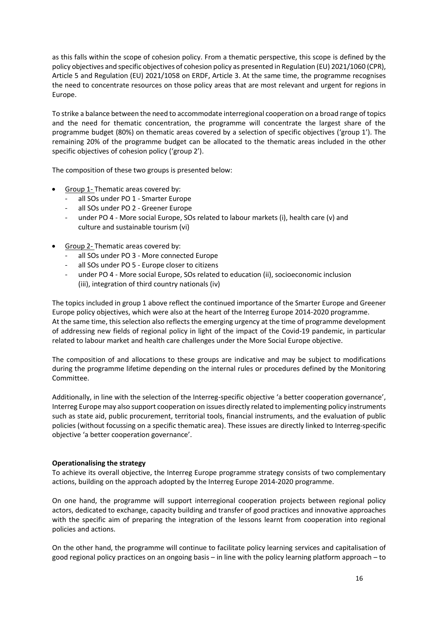as this falls within the scope of cohesion policy. From a thematic perspective, this scope is defined by the policy objectives and specific objectives of cohesion policy as presented in Regulation (EU) 2021/1060 (CPR), Article 5 and Regulation (EU) 2021/1058 on ERDF, Article 3. At the same time, the programme recognises the need to concentrate resources on those policy areas that are most relevant and urgent for regions in Europe.

To strike a balance between the need to accommodate interregional cooperation on a broad range of topics and the need for thematic concentration, the programme will concentrate the largest share of the programme budget (80%) on thematic areas covered by a selection of specific objectives ('group 1'). The remaining 20% of the programme budget can be allocated to the thematic areas included in the other specific objectives of cohesion policy ('group 2').

The composition of these two groups is presented below:

- Group 1- Thematic areas covered by:
	- all SOs under PO 1 Smarter Europe
	- all SOs under PO 2 Greener Europe
	- under PO 4 More social Europe, SOs related to labour markets (i), health care (v) and culture and sustainable tourism (vi)
- Group 2- Thematic areas covered by:
	- all SOs under PO 3 More connected Europe
	- all SOs under PO 5 Europe closer to citizens
	- under PO 4 More social Europe, SOs related to education (ii), socioeconomic inclusion (iii), integration of third country nationals (iv)

The topics included in group 1 above reflect the continued importance of the Smarter Europe and Greener Europe policy objectives, which were also at the heart of the Interreg Europe 2014-2020 programme. At the same time, this selection also reflects the emerging urgency at the time of programme development of addressing new fields of regional policy in light of the impact of the Covid-19 pandemic, in particular related to labour market and health care challenges under the More Social Europe objective.

The composition of and allocations to these groups are indicative and may be subject to modifications during the programme lifetime depending on the internal rules or procedures defined by the Monitoring Committee.

Additionally, in line with the selection of the Interreg-specific objective 'a better cooperation governance', Interreg Europe may also support cooperation on issues directly related to implementing policy instruments such as state aid, public procurement, territorial tools, financial instruments, and the evaluation of public policies (without focussing on a specific thematic area). These issues are directly linked to Interreg-specific objective 'a better cooperation governance'.

#### **Operationalising the strategy**

To achieve its overall objective, the Interreg Europe programme strategy consists of two complementary actions, building on the approach adopted by the Interreg Europe 2014-2020 programme.

On one hand, the programme will support interregional cooperation projects between regional policy actors, dedicated to exchange, capacity building and transfer of good practices and innovative approaches with the specific aim of preparing the integration of the lessons learnt from cooperation into regional policies and actions.

On the other hand, the programme will continue to facilitate policy learning services and capitalisation of good regional policy practices on an ongoing basis – in line with the policy learning platform approach – to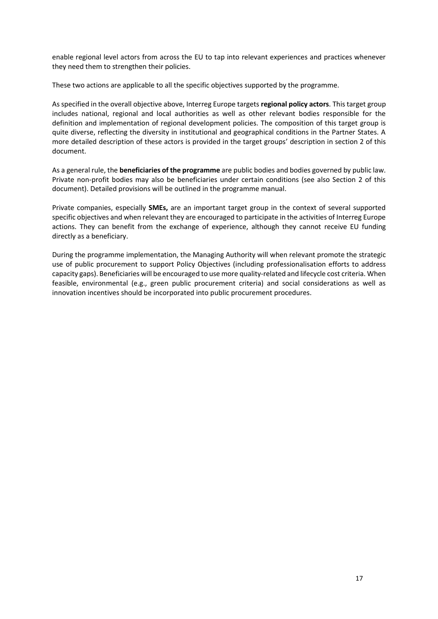enable regional level actors from across the EU to tap into relevant experiences and practices whenever they need them to strengthen their policies.

These two actions are applicable to all the specific objectives supported by the programme.

As specified in the overall objective above, Interreg Europe targets **regional policy actors**. This target group includes national, regional and local authorities as well as other relevant bodies responsible for the definition and implementation of regional development policies. The composition of this target group is quite diverse, reflecting the diversity in institutional and geographical conditions in the Partner States. A more detailed description of these actors is provided in the target groups' description in section 2 of this document.

As a general rule, the **beneficiaries of the programme** are public bodies and bodies governed by public law. Private non-profit bodies may also be beneficiaries under certain conditions (see also Section 2 of this document). Detailed provisions will be outlined in the programme manual.

Private companies, especially **SMEs,** are an important target group in the context of several supported specific objectives and when relevant they are encouraged to participate in the activities of Interreg Europe actions. They can benefit from the exchange of experience, although they cannot receive EU funding directly as a beneficiary.

During the programme implementation, the Managing Authority will when relevant promote the strategic use of public procurement to support Policy Objectives (including professionalisation efforts to address capacity gaps). Beneficiaries will be encouraged to use more quality-related and lifecycle cost criteria. When feasible, environmental (e.g., green public procurement criteria) and social considerations as well as innovation incentives should be incorporated into public procurement procedures.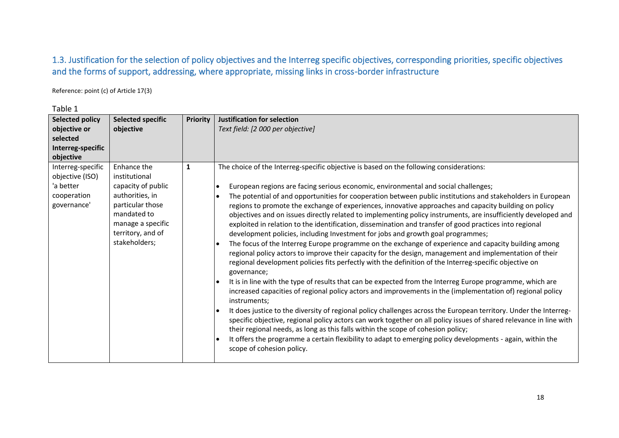# 1.3. Justification for the selection of policy objectives and the Interreg specific objectives, corresponding priorities, specific objectives and the forms of support, addressing, where appropriate, missing links in cross-border infrastructure

Reference: point (c) of Article 17(3)

<span id="page-17-0"></span>

| <b>Selected policy</b><br>objective or<br>selected<br>Interreg-specific         | <b>Selected specific</b><br>objective                                                                                                                               | <b>Priority</b> | <b>Justification for selection</b><br>Text field: [2 000 per objective]                                                                                                                                                                                                                                                                                                                                                                                                                                                                                                                                                                                                                                                                                                                                                                                                                                                                                                                                                                                                                                                                                                                                                                                                                                                                                                                                                                                                                                                                                                                                                                                                                                                                                                                |
|---------------------------------------------------------------------------------|---------------------------------------------------------------------------------------------------------------------------------------------------------------------|-----------------|----------------------------------------------------------------------------------------------------------------------------------------------------------------------------------------------------------------------------------------------------------------------------------------------------------------------------------------------------------------------------------------------------------------------------------------------------------------------------------------------------------------------------------------------------------------------------------------------------------------------------------------------------------------------------------------------------------------------------------------------------------------------------------------------------------------------------------------------------------------------------------------------------------------------------------------------------------------------------------------------------------------------------------------------------------------------------------------------------------------------------------------------------------------------------------------------------------------------------------------------------------------------------------------------------------------------------------------------------------------------------------------------------------------------------------------------------------------------------------------------------------------------------------------------------------------------------------------------------------------------------------------------------------------------------------------------------------------------------------------------------------------------------------------|
| objective                                                                       |                                                                                                                                                                     |                 |                                                                                                                                                                                                                                                                                                                                                                                                                                                                                                                                                                                                                                                                                                                                                                                                                                                                                                                                                                                                                                                                                                                                                                                                                                                                                                                                                                                                                                                                                                                                                                                                                                                                                                                                                                                        |
| Interreg-specific<br>objective (ISO)<br>'a better<br>cooperation<br>governance' | Enhance the<br>institutional<br>capacity of public<br>authorities, in<br>particular those<br>mandated to<br>manage a specific<br>territory, and of<br>stakeholders; | 1               | The choice of the Interreg-specific objective is based on the following considerations:<br>European regions are facing serious economic, environmental and social challenges;<br>The potential of and opportunities for cooperation between public institutions and stakeholders in European<br>regions to promote the exchange of experiences, innovative approaches and capacity building on policy<br>objectives and on issues directly related to implementing policy instruments, are insufficiently developed and<br>exploited in relation to the identification, dissemination and transfer of good practices into regional<br>development policies, including Investment for jobs and growth goal programmes;<br>The focus of the Interreg Europe programme on the exchange of experience and capacity building among<br>regional policy actors to improve their capacity for the design, management and implementation of their<br>regional development policies fits perfectly with the definition of the Interreg-specific objective on<br>governance;<br>It is in line with the type of results that can be expected from the Interreg Europe programme, which are<br>increased capacities of regional policy actors and improvements in the (implementation of) regional policy<br>instruments;<br>It does justice to the diversity of regional policy challenges across the European territory. Under the Interreg-<br>specific objective, regional policy actors can work together on all policy issues of shared relevance in line with<br>their regional needs, as long as this falls within the scope of cohesion policy;<br>It offers the programme a certain flexibility to adapt to emerging policy developments - again, within the<br>scope of cohesion policy. |

Table 1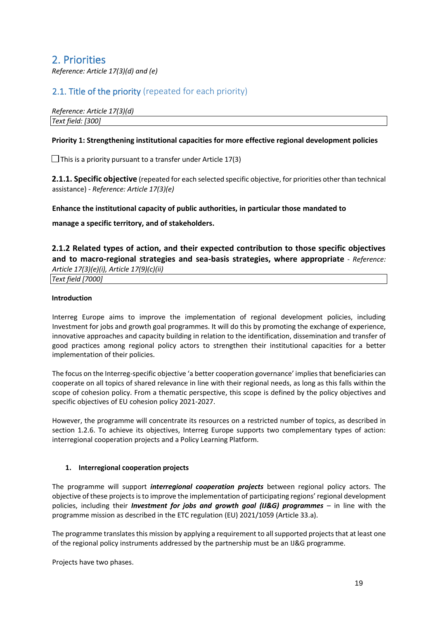# <span id="page-18-0"></span>2. Priorities

*Reference: Article 17(3)(d) and (e)* 

# <span id="page-18-1"></span>2.1. Title of the priority (repeated for each priority)

*Reference: Article 17(3)(d) Text field: [300]* 

#### **Priority 1: Strengthening institutional capacities for more effective regional development policies**

 $\Box$  This is a priority pursuant to a transfer under Article 17(3)

<span id="page-18-2"></span>**2.1.1. Specific objective** (repeated for each selected specific objective, for priorities other than technical assistance) - *Reference: Article 17(3)(e)* 

#### **Enhance the institutional capacity of public authorities, in particular those mandated to**

**manage a specific territory, and of stakeholders.** 

<span id="page-18-3"></span>**2.1.2 Related types of action, and their expected contribution to those specific objectives and to macro-regional strategies and sea-basis strategies, where appropriate** - *Reference:* 

*Article 17(3)(e)(i), Article 17(9)(c)(ii) Text field [7000]* 

#### **Introduction**

Interreg Europe aims to improve the implementation of regional development policies, including Investment for jobs and growth goal programmes. It will do this by promoting the exchange of experience, innovative approaches and capacity building in relation to the identification, dissemination and transfer of good practices among regional policy actors to strengthen their institutional capacities for a better implementation of their policies.

The focus on the Interreg-specific objective 'a better cooperation governance' implies that beneficiaries can cooperate on all topics of shared relevance in line with their regional needs, as long as this falls within the scope of cohesion policy. From a thematic perspective, this scope is defined by the policy objectives and specific objectives of EU cohesion policy 2021-2027.

However, the programme will concentrate its resources on a restricted number of topics, as described in section 1.2.6. To achieve its objectives, Interreg Europe supports two complementary types of action: interregional cooperation projects and a Policy Learning Platform.

#### **1. Interregional cooperation projects**

The programme will support *interregional cooperation projects* between regional policy actors. The objective of these projects is to improve the implementation of participating regions' regional development policies, including their *Investment for jobs and growth goal (IJ&G) programmes* – in line with the programme mission as described in the ETC regulation (EU) 2021/1059 (Article 33.a).

The programme translates this mission by applying a requirement to all supported projects that at least one of the regional policy instruments addressed by the partnership must be an IJ&G programme.

Projects have two phases.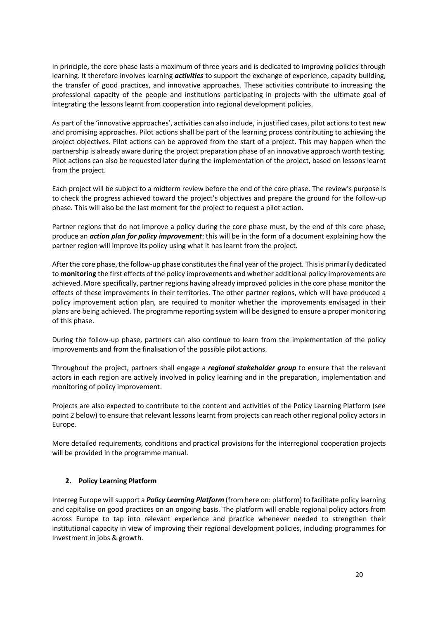In principle, the core phase lasts a maximum of three years and is dedicated to improving policies through learning. It therefore involves learning *activities* to support the exchange of experience, capacity building, the transfer of good practices, and innovative approaches. These activities contribute to increasing the professional capacity of the people and institutions participating in projects with the ultimate goal of integrating the lessons learnt from cooperation into regional development policies.

As part of the 'innovative approaches', activities can also include, in justified cases, pilot actions to test new and promising approaches. Pilot actions shall be part of the learning process contributing to achieving the project objectives. Pilot actions can be approved from the start of a project. This may happen when the partnership is already aware during the project preparation phase of an innovative approach worth testing. Pilot actions can also be requested later during the implementation of the project, based on lessons learnt from the project.

Each project will be subject to a midterm review before the end of the core phase. The review's purpose is to check the progress achieved toward the project's objectives and prepare the ground for the follow-up phase. This will also be the last moment for the project to request a pilot action.

Partner regions that do not improve a policy during the core phase must, by the end of this core phase, produce an *action plan for policy improvement*: this will be in the form of a document explaining how the partner region will improve its policy using what it has learnt from the project.

After the core phase, the follow-up phase constitutes the final year of the project. This is primarily dedicated to **monitoring** the first effects of the policy improvements and whether additional policy improvements are achieved. More specifically, partner regions having already improved policies in the core phase monitor the effects of these improvements in their territories. The other partner regions, which will have produced a policy improvement action plan, are required to monitor whether the improvements envisaged in their plans are being achieved. The programme reporting system will be designed to ensure a proper monitoring of this phase.

During the follow-up phase, partners can also continue to learn from the implementation of the policy improvements and from the finalisation of the possible pilot actions.

Throughout the project, partners shall engage a *regional stakeholder group* to ensure that the relevant actors in each region are actively involved in policy learning and in the preparation, implementation and monitoring of policy improvement.

Projects are also expected to contribute to the content and activities of the Policy Learning Platform (see point 2 below) to ensure that relevant lessons learnt from projects can reach other regional policy actors in Europe.

More detailed requirements, conditions and practical provisions for the interregional cooperation projects will be provided in the programme manual.

#### **2. Policy Learning Platform**

Interreg Europe will support a *Policy Learning Platform* (from here on: platform) to facilitate policy learning and capitalise on good practices on an ongoing basis. The platform will enable regional policy actors from across Europe to tap into relevant experience and practice whenever needed to strengthen their institutional capacity in view of improving their regional development policies, including programmes for Investment in jobs & growth.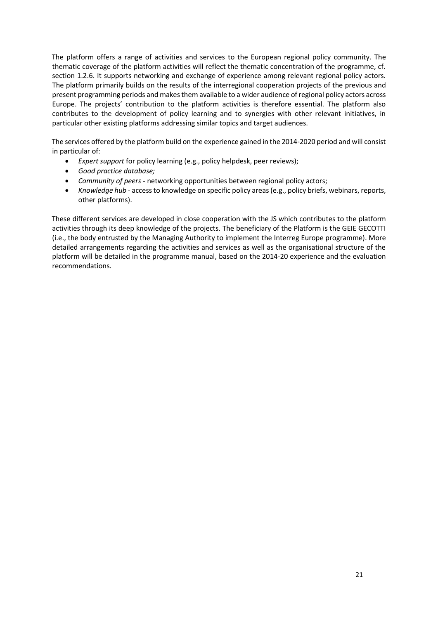The platform offers a range of activities and services to the European regional policy community. The thematic coverage of the platform activities will reflect the thematic concentration of the programme, cf. section 1.2.6. It supports networking and exchange of experience among relevant regional policy actors. The platform primarily builds on the results of the interregional cooperation projects of the previous and present programming periods and makes them available to a wider audience of regional policy actors across Europe. The projects' contribution to the platform activities is therefore essential. The platform also contributes to the development of policy learning and to synergies with other relevant initiatives, in particular other existing platforms addressing similar topics and target audiences.

The services offered by the platform build on the experience gained in the 2014-2020 period and will consist in particular of:

- *Expert support* for policy learning (e.g., policy helpdesk, peer reviews);
- *Good practice database;*
- *Community of peers*  networking opportunities between regional policy actors;
- *Knowledge hub* access to knowledge on specific policy areas (e.g., policy briefs, webinars, reports, other platforms).

These different services are developed in close cooperation with the JS which contributes to the platform activities through its deep knowledge of the projects. The beneficiary of the Platform is the GEIE GECOTTI (i.e., the body entrusted by the Managing Authority to implement the Interreg Europe programme). More detailed arrangements regarding the activities and services as well as the organisational structure of the platform will be detailed in the programme manual, based on the 2014-20 experience and the evaluation recommendations.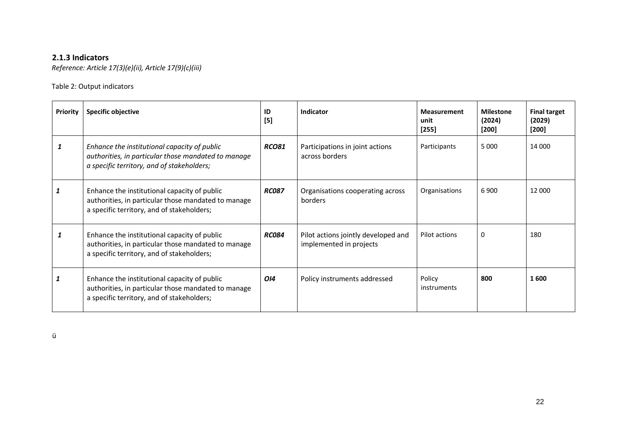# **2.1.3 Indicators**

*Reference: Article 17(3)(e)(ii), Article 17(9)(c)(iii)* 

### Table 2: Output indicators

<span id="page-21-0"></span>

| <b>Priority</b> | Specific objective                                                                                                                                | ID<br>$[5]$  | Indicator                                                      | <b>Measurement</b><br>unit<br>$[255]$ | <b>Milestone</b><br>(2024)<br>$[200]$ | <b>Final target</b><br>(2029)<br>$[200]$ |
|-----------------|---------------------------------------------------------------------------------------------------------------------------------------------------|--------------|----------------------------------------------------------------|---------------------------------------|---------------------------------------|------------------------------------------|
|                 | Enhance the institutional capacity of public<br>authorities, in particular those mandated to manage<br>a specific territory, and of stakeholders; | <b>RCO81</b> | Participations in joint actions<br>across borders              | Participants                          | 5 0 0 0                               | 14 000                                   |
| 1               | Enhance the institutional capacity of public<br>authorities, in particular those mandated to manage<br>a specific territory, and of stakeholders; | <b>RC087</b> | Organisations cooperating across<br>borders                    | Organisations                         | 6900                                  | 12 000                                   |
|                 | Enhance the institutional capacity of public<br>authorities, in particular those mandated to manage<br>a specific territory, and of stakeholders; | <b>RC084</b> | Pilot actions jointly developed and<br>implemented in projects | Pilot actions                         | 0                                     | 180                                      |
|                 | Enhance the institutional capacity of public<br>authorities, in particular those mandated to manage<br>a specific territory, and of stakeholders; | 014          | Policy instruments addressed                                   | Policy<br>instruments                 | 800                                   | 1600                                     |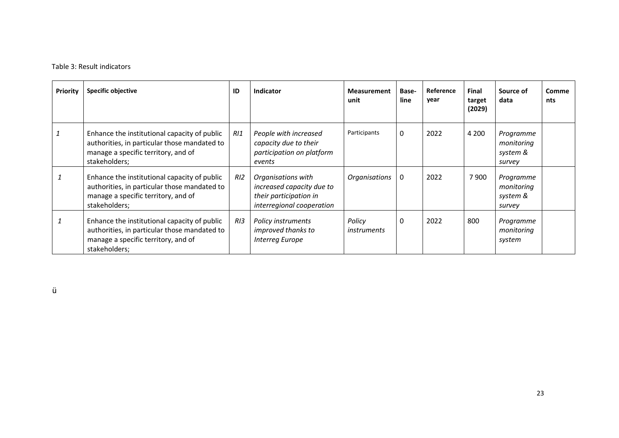### Table 3: Result indicators

| <b>Priority</b> | Specific objective                                                                                                                                   | ID  | <b>Indicator</b>                                                                                       | <b>Measurement</b><br>unit | Base-<br>line | Reference<br>year | <b>Final</b><br>target<br>(2029) | Source of<br>data                             | <b>Comme</b><br>nts |
|-----------------|------------------------------------------------------------------------------------------------------------------------------------------------------|-----|--------------------------------------------------------------------------------------------------------|----------------------------|---------------|-------------------|----------------------------------|-----------------------------------------------|---------------------|
| 1               | Enhance the institutional capacity of public<br>authorities, in particular those mandated to<br>manage a specific territory, and of<br>stakeholders; | R11 | People with increased<br>capacity due to their<br>participation on platform<br>events                  | Participants               | 0             | 2022              | 4 2 0 0                          | Programme<br>monitoring<br>system &<br>survey |                     |
|                 | Enhance the institutional capacity of public<br>authorities, in particular those mandated to<br>manage a specific territory, and of<br>stakeholders; | R12 | Organisations with<br>increased capacity due to<br>their participation in<br>interregional cooperation | Organisations              | 0             | 2022              | 7900                             | Programme<br>monitoring<br>system &<br>survey |                     |
|                 | Enhance the institutional capacity of public<br>authorities, in particular those mandated to<br>manage a specific territory, and of<br>stakeholders; | RI3 | Policy instruments<br>improved thanks to<br><b>Interreg Europe</b>                                     | Policy<br>instruments      | 0             | 2022              | 800                              | Programme<br>monitoring<br>system             |                     |

ü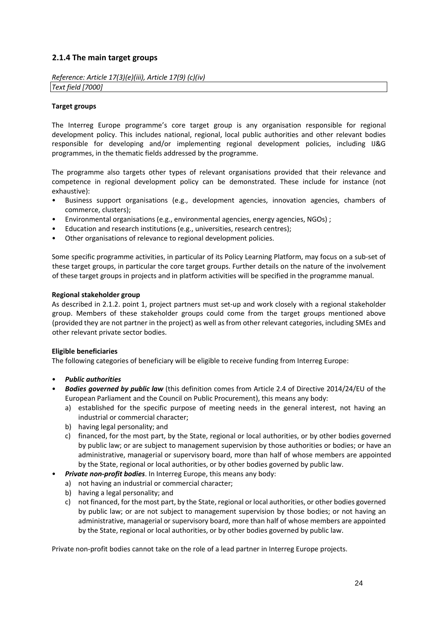### <span id="page-23-0"></span>**2.1.4 The main target groups**

*Reference: Article 17(3)(e)(iii), Article 17(9) (c)(iv) Text field [7000]* 

#### **Target groups**

The Interreg Europe programme's core target group is any organisation responsible for regional development policy. This includes national, regional, local public authorities and other relevant bodies responsible for developing and/or implementing regional development policies, including IJ&G programmes, in the thematic fields addressed by the programme.

The programme also targets other types of relevant organisations provided that their relevance and competence in regional development policy can be demonstrated. These include for instance (not exhaustive):

- Business support organisations (e.g., development agencies, innovation agencies, chambers of commerce, clusters);
- Environmental organisations (e.g., environmental agencies, energy agencies, NGOs) ;
- Education and research institutions (e.g., universities, research centres);
- Other organisations of relevance to regional development policies.

Some specific programme activities, in particular of its Policy Learning Platform, may focus on a sub-set of these target groups, in particular the core target groups. Further details on the nature of the involvement of these target groups in projects and in platform activities will be specified in the programme manual.

#### **Regional stakeholder group**

As described in 2.1.2. point 1, project partners must set-up and work closely with a regional stakeholder group. Members of these stakeholder groups could come from the target groups mentioned above (provided they are not partner in the project) as well as from other relevant categories, including SMEs and other relevant private sector bodies.

#### **Eligible beneficiaries**

The following categories of beneficiary will be eligible to receive funding from Interreg Europe:

- *Public authorities*
- *Bodies governed by public law* (this definition comes from Article 2.4 of Directive 2014/24/EU of the European Parliament and the Council on Public Procurement), this means any body:
	- a) established for the specific purpose of meeting needs in the general interest, not having an industrial or commercial character;
	- b) having legal personality; and
	- c) financed, for the most part, by the State, regional or local authorities, or by other bodies governed by public law; or are subject to management supervision by those authorities or bodies; or have an administrative, managerial or supervisory board, more than half of whose members are appointed by the State, regional or local authorities, or by other bodies governed by public law.
- *Private non-profit bodies.* In Interreg Europe, this means any body:
	- a) not having an industrial or commercial character;
	- b) having a legal personality; and
	- c) not financed, for the most part, by the State, regional or local authorities, or other bodies governed by public law; or are not subject to management supervision by those bodies; or not having an administrative, managerial or supervisory board, more than half of whose members are appointed by the State, regional or local authorities, or by other bodies governed by public law.

Private non-profit bodies cannot take on the role of a lead partner in Interreg Europe projects.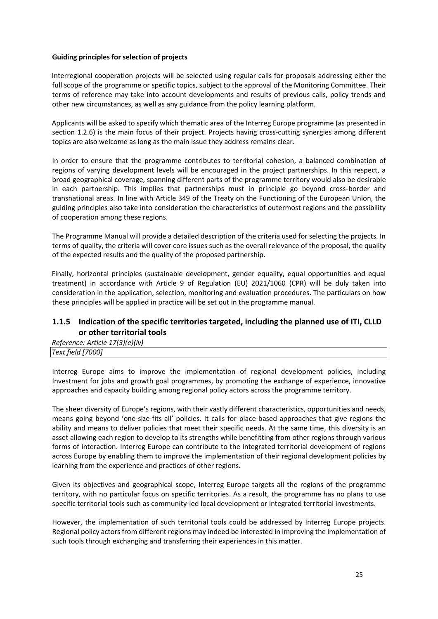#### **Guiding principles for selection of projects**

Interregional cooperation projects will be selected using regular calls for proposals addressing either the full scope of the programme or specific topics, subject to the approval of the Monitoring Committee. Their terms of reference may take into account developments and results of previous calls, policy trends and other new circumstances, as well as any guidance from the policy learning platform.

Applicants will be asked to specify which thematic area of the Interreg Europe programme (as presented in section 1.2.6) is the main focus of their project. Projects having cross-cutting synergies among different topics are also welcome as long as the main issue they address remains clear.

In order to ensure that the programme contributes to territorial cohesion, a balanced combination of regions of varying development levels will be encouraged in the project partnerships. In this respect, a broad geographical coverage, spanning different parts of the programme territory would also be desirable in each partnership. This implies that partnerships must in principle go beyond cross-border and transnational areas. In line with Article 349 of the Treaty on the Functioning of the European Union, the guiding principles also take into consideration the characteristics of outermost regions and the possibility of cooperation among these regions.

The Programme Manual will provide a detailed description of the criteria used for selecting the projects. In terms of quality, the criteria will cover core issues such as the overall relevance of the proposal, the quality of the expected results and the quality of the proposed partnership.

Finally, horizontal principles (sustainable development, gender equality, equal opportunities and equal treatment) in accordance with Article 9 of Regulation (EU) 2021/1060 (CPR) will be duly taken into consideration in the application, selection, monitoring and evaluation procedures. The particulars on how these principles will be applied in practice will be set out in the programme manual.

### <span id="page-24-0"></span>**1.1.5 Indication of the specific territories targeted, including the planned use of ITI, CLLD or other territorial tools**

*Reference: Article 17(3)(e)(iv)* 

|                    | . |
|--------------------|---|
| Text field<br>77 I |   |
|                    |   |

Interreg Europe aims to improve the implementation of regional development policies, including Investment for jobs and growth goal programmes, by promoting the exchange of experience, innovative approaches and capacity building among regional policy actors across the programme territory.

The sheer diversity of Europe's regions, with their vastly different characteristics, opportunities and needs, means going beyond 'one-size-fits-all' policies. It calls for place-based approaches that give regions the ability and means to deliver policies that meet their specific needs. At the same time, this diversity is an asset allowing each region to develop to its strengths while benefitting from other regions through various forms of interaction. Interreg Europe can contribute to the integrated territorial development of regions across Europe by enabling them to improve the implementation of their regional development policies by learning from the experience and practices of other regions.

Given its objectives and geographical scope, Interreg Europe targets all the regions of the programme territory, with no particular focus on specific territories. As a result, the programme has no plans to use specific territorial tools such as community-led local development or integrated territorial investments.

However, the implementation of such territorial tools could be addressed by Interreg Europe projects. Regional policy actors from different regions may indeed be interested in improving the implementation of such tools through exchanging and transferring their experiences in this matter.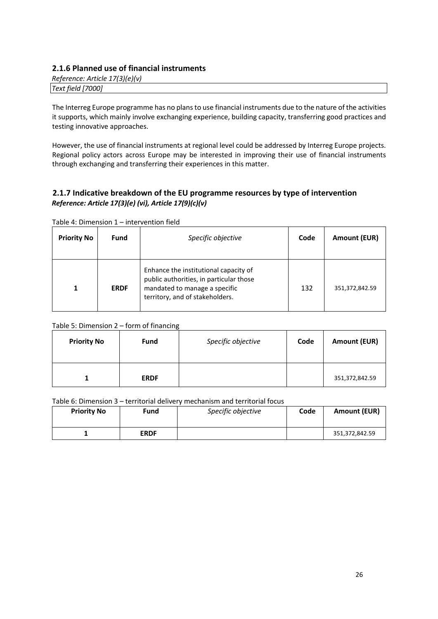### <span id="page-25-0"></span>**2.1.6 Planned use of financial instruments**

| Reference: Article 17(3)(e)(v) |  |
|--------------------------------|--|
| Text field [7000]              |  |

The Interreg Europe programme has no plans to use financial instruments due to the nature of the activities it supports, which mainly involve exchanging experience, building capacity, transferring good practices and testing innovative approaches.

However, the use of financial instruments at regional level could be addressed by Interreg Europe projects. Regional policy actors across Europe may be interested in improving their use of financial instruments through exchanging and transferring their experiences in this matter.

## <span id="page-25-1"></span>**2.1.7 Indicative breakdown of the EU programme resources by type of intervention**  *Reference: Article 17(3)(e) (vi), Article 17(9)(c)(v)*

| <b>Priority No</b> | <b>Fund</b> | Specific objective                                                                                                                                   | Code | Amount (EUR)   |
|--------------------|-------------|------------------------------------------------------------------------------------------------------------------------------------------------------|------|----------------|
|                    | <b>ERDF</b> | Enhance the institutional capacity of<br>public authorities, in particular those<br>mandated to manage a specific<br>territory, and of stakeholders. | 132  | 351,372,842.59 |

Table 4: Dimension 1 – intervention field

### Table 5: Dimension 2 – form of financing

| <b>Priority No</b> | <b>Fund</b> | Specific objective | Code | <b>Amount (EUR)</b> |
|--------------------|-------------|--------------------|------|---------------------|
|                    | <b>ERDF</b> |                    |      | 351,372,842.59      |

Table 6: Dimension 3 – territorial delivery mechanism and territorial focus

| <b>Priority No</b> | Fund        | Specific objective | Code | <b>Amount (EUR)</b> |
|--------------------|-------------|--------------------|------|---------------------|
|                    | <b>ERDF</b> |                    |      | 351,372,842.59      |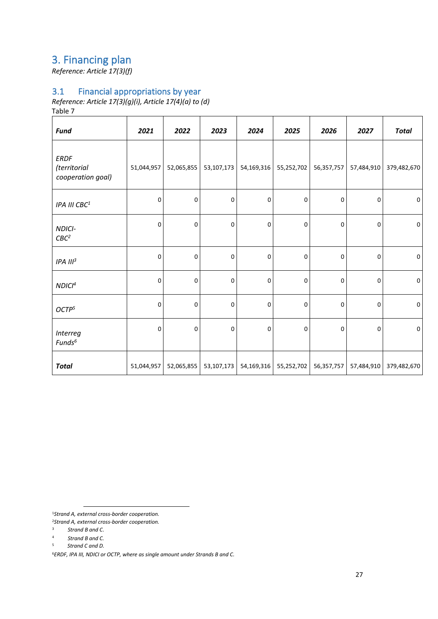# <span id="page-26-0"></span>3. Financing plan

*Reference: Article 17(3)(f)* 

# <span id="page-26-1"></span>3.1 Financial appropriations by year

*Reference: Article 17(3)(g)(i), Article 17(4)(a) to (d)*

Table 7

| <b>Fund</b>                                      | 2021        | 2022       | 2023        | 2024        | 2025        | 2026        | 2027        | <b>Total</b>        |
|--------------------------------------------------|-------------|------------|-------------|-------------|-------------|-------------|-------------|---------------------|
| <b>ERDF</b><br>(territorial<br>cooperation goal) | 51,044,957  | 52,065,855 | 53,107,173  | 54,169,316  | 55,252,702  | 56,357,757  | 57,484,910  | 379,482,670         |
| IPA III CBC <sup>1</sup>                         | $\mathbf 0$ | 0          | 0           | 0           | 0           | 0           | 0           | $\mathsf 0$         |
| NDICI-<br>CBC <sup>2</sup>                       | $\mathbf 0$ | 0          | $\mathbf 0$ | 0           | $\mathbf 0$ | $\mathbf 0$ | 0           | $\mathbf 0$         |
| IPA III <sup>3</sup>                             | 0           | 0          | $\mathbf 0$ | $\mathbf 0$ | 0           | 0           | $\mathbf 0$ | $\mathbf 0$         |
| NDICI <sup>4</sup>                               | $\mathbf 0$ | 0          | 0           | 0           | 0           | $\mathsf 0$ | $\pmb{0}$   | $\mathsf{O}\xspace$ |
| OCTP <sup>5</sup>                                | $\mathbf 0$ | 0          | $\mathbf 0$ | 0           | $\mathbf 0$ | 0           | 0           | $\mathsf 0$         |
| <b>Interreg</b><br>Funds <sup>6</sup>            | $\mathbf 0$ | 0          | 0           | 0           | $\mathbf 0$ | 0           | 0           | $\mathbf 0$         |
| <b>Total</b>                                     | 51,044,957  | 52,065,855 | 53,107,173  | 54,169,316  | 55,252,702  | 56,357,757  | 57,484,910  | 379,482,670         |

<sup>1</sup>*Strand A, external cross-border cooperation.* 

<sup>6</sup>*ERDF, IPA III, NDICI or OCTP, where as single amount under Strands B and C.*

<sup>2</sup>*Strand A, external cross-border cooperation.*

<sup>3</sup> *Strand B and C*.

<sup>4</sup> *Strand B and C.*

<sup>5</sup> *Strand C and D.*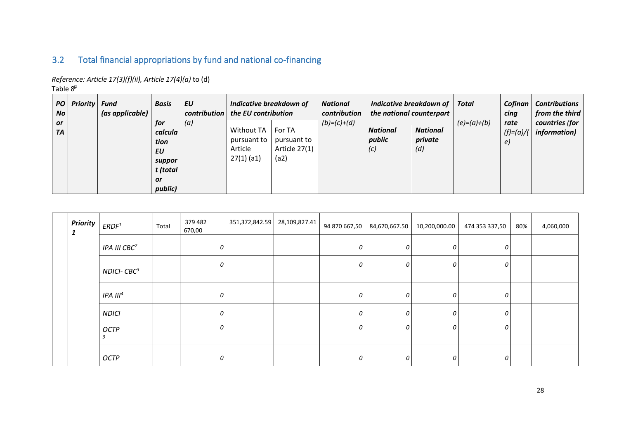# 3.2 Total financial appropriations by fund and national co-financing

*Reference: Article 17(3)(f)(ii), Article 17(4)(a)* to (d)

Table 8

| PO<br>N <sub>O</sub>   | <b>Priority</b> | <b>Fund</b><br>(as applicable) | <b>Basis</b>                                                        | EU<br>contribution | Indicative breakdown of<br>the EU contribution              |                                                | <b>National</b><br>contribution | Indicative breakdown of   Total<br>the national counterpart |                                   |               | Cofinan<br>cina           | <b>Contributions</b><br>from the third |
|------------------------|-----------------|--------------------------------|---------------------------------------------------------------------|--------------------|-------------------------------------------------------------|------------------------------------------------|---------------------------------|-------------------------------------------------------------|-----------------------------------|---------------|---------------------------|----------------------------------------|
| <b>or</b><br><b>TA</b> |                 |                                | for<br>calcula<br>tion<br>EU<br>suppor<br>t (total<br>or<br>public) | (a)                | <b>Without TA</b><br>pursuant to<br>Article<br>$27(1)$ (a1) | For TA<br>pursuant to<br>Article 27(1)<br>(a2) | $(b)=(c)+(d)$                   | <b>National</b><br>public<br>(C)                            | <b>National</b><br>private<br>(d) | $(e)=(a)+(b)$ | rate<br>$(f)=(a)/($<br>e) | countries (for<br><i>information</i> ) |

<span id="page-27-0"></span>

| <b>Priority</b><br>1 | ERDF <sup>1</sup>        | Total | 379 482<br>670,00 | 351,372,842.59 28,109,827.41 | 94 870 667,50 | 84,670,667.50 | 10,200,000.00 | 474 353 337,50 | 80% | 4,060,000 |
|----------------------|--------------------------|-------|-------------------|------------------------------|---------------|---------------|---------------|----------------|-----|-----------|
|                      | IPA III CBC <sup>2</sup> |       | 0                 |                              | 0             | U             | 0             | 0              |     |           |
|                      | $NDICI-CBC3$             |       | 0                 |                              | $\Omega$      |               | 0             | 0              |     |           |
|                      | IPA III <sup>4</sup>     |       | 0                 |                              | 0             | 0             | $\mathcal O$  | 0              |     |           |
|                      | <b>NDICI</b>             |       | 0                 |                              | 0             | $\Omega$      | 0             | 0              |     |           |
|                      | <b>OCTP</b><br>9         |       | 0                 |                              | 0             | 0             | $\mathcal O$  | 0              |     |           |
|                      | <b>OCTP</b>              |       | 0                 |                              | 0             |               | 0             | 0              |     |           |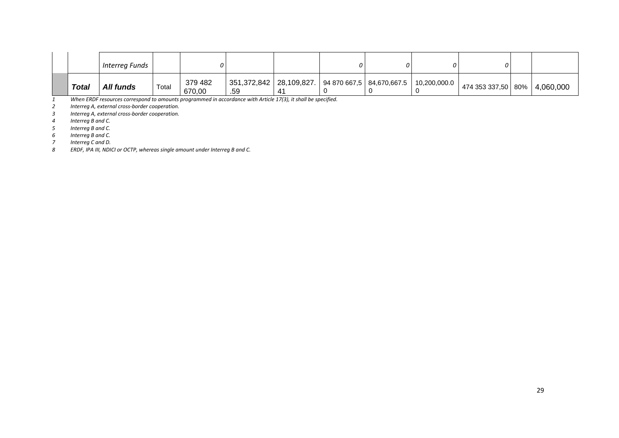|              | Interreg Funds |       |                   |                                                                               |              |  |                                  |  |
|--------------|----------------|-------|-------------------|-------------------------------------------------------------------------------|--------------|--|----------------------------------|--|
| <b>Total</b> | All funds      | Total | 379 482<br>670,00 | 351,372,842   28,109,827.   94 870 667,5   84,670,667.5   10,200,000.0<br>.59 | $\mathbf{A}$ |  | $ $ 474 353 337,50 80% 4,060,000 |  |

*When ERDF resources correspond to amounts programmed in accordance with Article 17(3), it shall be specified.* 

 *Interreg A, external cross-border cooperation. Interreg A, external cross-border cooperation.* 

*Interreg B and C.* 

 *Interreg B and C. Interreg B and C.*

*Interreg C and D.* 

*ERDF, IPA III, NDICI or OCTP, whereas single amount under Interreg B and C.*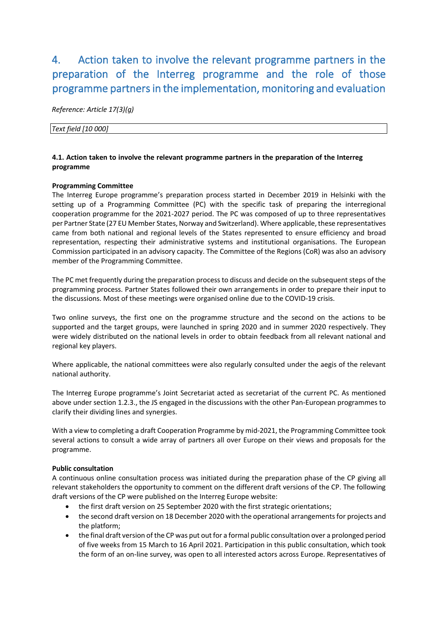# <span id="page-29-0"></span>4. Action taken to involve the relevant programme partners in the preparation of the Interreg programme and the role of those programme partners in the implementation, monitoring and evaluation

*Reference: Article 17(3)(g)*

*Text field [10 000]* 

#### **4.1. Action taken to involve the relevant programme partners in the preparation of the Interreg programme**

#### **Programming Committee**

The Interreg Europe programme's preparation process started in December 2019 in Helsinki with the setting up of a Programming Committee (PC) with the specific task of preparing the interregional cooperation programme for the 2021-2027 period. The PC was composed of up to three representatives per Partner State (27 EU Member States, Norway and Switzerland). Where applicable, these representatives came from both national and regional levels of the States represented to ensure efficiency and broad representation, respecting their administrative systems and institutional organisations. The European Commission participated in an advisory capacity. The Committee of the Regions (CoR) was also an advisory member of the Programming Committee.

The PC met frequently during the preparation process to discuss and decide on the subsequent steps of the programming process. Partner States followed their own arrangements in order to prepare their input to the discussions. Most of these meetings were organised online due to the COVID-19 crisis.

Two online surveys, the first one on the programme structure and the second on the actions to be supported and the target groups, were launched in spring 2020 and in summer 2020 respectively. They were widely distributed on the national levels in order to obtain feedback from all relevant national and regional key players.

Where applicable, the national committees were also regularly consulted under the aegis of the relevant national authority.

The Interreg Europe programme's Joint Secretariat acted as secretariat of the current PC. As mentioned above under section 1.2.3., the JS engaged in the discussions with the other Pan-European programmes to clarify their dividing lines and synergies.

With a view to completing a draft Cooperation Programme by mid-2021, the Programming Committee took several actions to consult a wide array of partners all over Europe on their views and proposals for the programme.

#### **Public consultation**

A continuous online consultation process was initiated during the preparation phase of the CP giving all relevant stakeholders the opportunity to comment on the different draft versions of the CP. The following draft versions of the CP were published on the Interreg Europe website:

- the first draft version on 25 September 2020 with the first strategic orientations;
- the second draft version on 18 December 2020 with the operational arrangements for projects and the platform;
- the final draft version of the CP was put out for a formal public consultation over a prolonged period of five weeks from 15 March to 16 April 2021. Participation in this public consultation, which took the form of an on-line survey, was open to all interested actors across Europe. Representatives of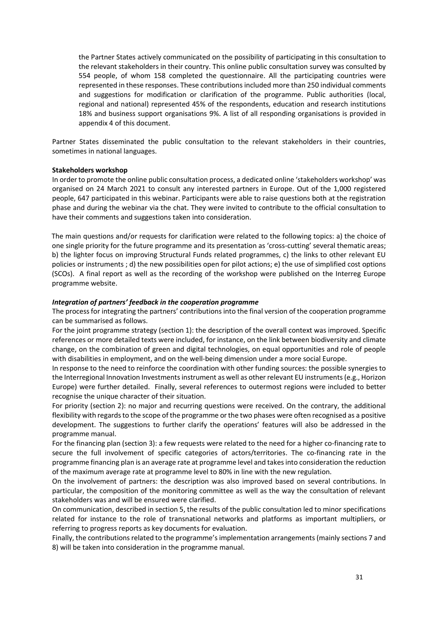the Partner States actively communicated on the possibility of participating in this consultation to the relevant stakeholders in their country. This online public consultation survey was consulted by 554 people, of whom 158 completed the questionnaire. All the participating countries were represented in these responses. These contributions included more than 250 individual comments and suggestions for modification or clarification of the programme. Public authorities (local, regional and national) represented 45% of the respondents, education and research institutions 18% and business support organisations 9%. A list of all responding organisations is provided in appendix 4 of this document.

Partner States disseminated the public consultation to the relevant stakeholders in their countries, sometimes in national languages.

#### **Stakeholders workshop**

In order to promote the online public consultation process, a dedicated online 'stakeholders workshop' was organised on 24 March 2021 to consult any interested partners in Europe. Out of the 1,000 registered people, 647 participated in this webinar. Participants were able to raise questions both at the registration phase and during the webinar via the chat. They were invited to contribute to the official consultation to have their comments and suggestions taken into consideration.

The main questions and/or requests for clarification were related to the following topics: a) the choice of one single priority for the future programme and its presentation as 'cross-cutting' several thematic areas; b) the lighter focus on improving Structural Funds related programmes, c) the links to other relevant EU policies or instruments ; d) the new possibilities open for pilot actions; e) the use of simplified cost options (SCOs). A final report as well as the recording of the workshop were published on the Interreg Europe programme website.

#### *Integration of partners' feedback in the cooperation programme*

The process for integrating the partners' contributions into the final version of the cooperation programme can be summarised as follows.

For the joint programme strategy (section 1): the description of the overall context was improved. Specific references or more detailed texts were included, for instance, on the link between biodiversity and climate change, on the combination of green and digital technologies, on equal opportunities and role of people with disabilities in employment, and on the well-being dimension under a more social Europe.

In response to the need to reinforce the coordination with other funding sources: the possible synergies to the Interregional Innovation Investments instrument as well as other relevant EU instruments (e.g., Horizon Europe) were further detailed. Finally, several references to outermost regions were included to better recognise the unique character of their situation.

For priority (section 2): no major and recurring questions were received. On the contrary, the additional flexibility with regards to the scope of the programme or the two phases were often recognised as a positive development. The suggestions to further clarify the operations' features will also be addressed in the programme manual.

For the financing plan (section 3): a few requests were related to the need for a higher co-financing rate to secure the full involvement of specific categories of actors/territories. The co-financing rate in the programme financing plan is an average rate at programme level and takes into consideration the reduction of the maximum average rate at programme level to 80% in line with the new regulation.

On the involvement of partners: the description was also improved based on several contributions. In particular, the composition of the monitoring committee as well as the way the consultation of relevant stakeholders was and will be ensured were clarified.

On communication, described in section 5, the results of the public consultation led to minor specifications related for instance to the role of transnational networks and platforms as important multipliers, or referring to progress reports as key documents for evaluation.

Finally, the contributions related to the programme's implementation arrangements(mainly sections 7 and 8) will be taken into consideration in the programme manual.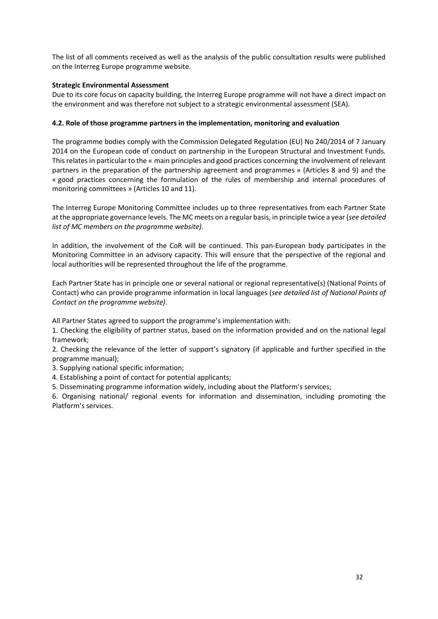The list of all comments received as well as the analysis of the public consultation results were published on the Interreg Europe programme website.

#### **Strategic Environmental Assessment**

Due to its core focus on capacity building, the Interreg Europe programme will not have a direct impact on the environment and was therefore not subject to a strategic environmental assessment (SEA).

#### **4.2. Role of those programme partners in the implementation, monitoring and evaluation**

The programme bodies comply with the Commission Delegated Regulation (EU) No 240/2014 of 7 January 2014 on the European code of conduct on partnership in the European Structural and Investment Funds. This relates in particular to the « main principles and good practices concerning the involvement of relevant partners in the preparation of the partnership agreement and programmes » (Articles 8 and 9) and the « good practices concerning the formulation of the rules of membership and internal procedures of monitoring committees » (Articles 10 and 11).

The Interreg Europe Monitoring Committee includes up to three representatives from each Partner State at the appropriate governance levels. The MC meets on a regular basis, in principle twice a year(*see detailed list of MC members on the programme website)*.

In addition, the involvement of the CoR will be continued. This pan-European body participates in the Monitoring Committee in an advisory capacity. This will ensure that the perspective of the regional and local authorities will be represented throughout the life of the programme.

Each Partner State has in principle one or several national or regional representative(s) (National Points of Contact) who can provide programme information in local languages (*see detailed list of National Points of Contact on the programme website)*.

All Partner States agreed to support the programme's implementation with:

1. Checking the eligibility of partner status, based on the information provided and on the national legal framework;

2. Checking the relevance of the letter of support's signatory (if applicable and further specified in the programme manual);

3. Supplying national specific information;

4. Establishing a point of contact for potential applicants;

5. Disseminating programme information widely, including about the Platform's services;

6. Organising national/ regional events for information and dissemination, including promoting the Platform's services.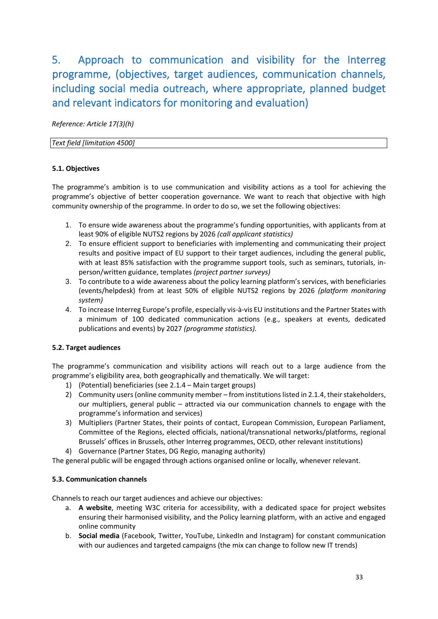<span id="page-32-0"></span>5. Approach to communication and visibility for the Interreg programme, (objectives, target audiences, communication channels, including social media outreach, where appropriate, planned budget and relevant indicators for monitoring and evaluation)

*Reference: Article 17(3)(h)*

#### *Text field [limitation 4500]*

#### **5.1. Objectives**

The programme's ambition is to use communication and visibility actions as a tool for achieving the programme's objective of better cooperation governance. We want to reach that objective with high community ownership of the programme. In order to do so, we set the following objectives:

- 1. To ensure wide awareness about the programme's funding opportunities, with applicants from at least 90% of eligible NUTS2 regions by 2026 *(call applicant statistics)*
- 2. To ensure efficient support to beneficiaries with implementing and communicating their project results and positive impact of EU support to their target audiences, including the general public, with at least 85% satisfaction with the programme support tools, such as seminars, tutorials, inperson/written guidance, templates *(project partner surveys)*
- 3. To contribute to a wide awareness about the policy learning platform's services, with beneficiaries (events/helpdesk) from at least 50% of eligible NUTS2 regions by 2026 *(platform monitoring system)*
- 4. To increase Interreg Europe's profile, especially vis-à-vis EU institutions and the Partner States with a minimum of 100 dedicated communication actions (e.g., speakers at events, dedicated publications and events) by 2027 *(programme statistics).*

### **5.2. Target audiences**

The programme's communication and visibility actions will reach out to a large audience from the programme's eligibility area, both geographically and thematically. We will target:

- 1) (Potential) beneficiaries (see 2.1.4 Main target groups)
- 2) Community users (online community member from institutions listed in 2.1.4, their stakeholders, our multipliers, general public – attracted via our communication channels to engage with the programme's information and services)
- 3) Multipliers (Partner States, their points of contact, European Commission, European Parliament, Committee of the Regions, elected officials, national/transnational networks/platforms, regional Brussels' offices in Brussels, other Interreg programmes, OECD, other relevant institutions)
- 4) Governance (Partner States, DG Regio, managing authority)

The general public will be engaged through actions organised online or locally, whenever relevant.

#### **5.3. Communication channels**

Channels to reach our target audiences and achieve our objectives:

- a. **A website**, meeting W3C criteria for accessibility, with a dedicated space for project websites ensuring their harmonised visibility, and the Policy learning platform, with an active and engaged online community
- b. **Social media** (Facebook, Twitter, YouTube, LinkedIn and Instagram) for constant communication with our audiences and targeted campaigns (the mix can change to follow new IT trends)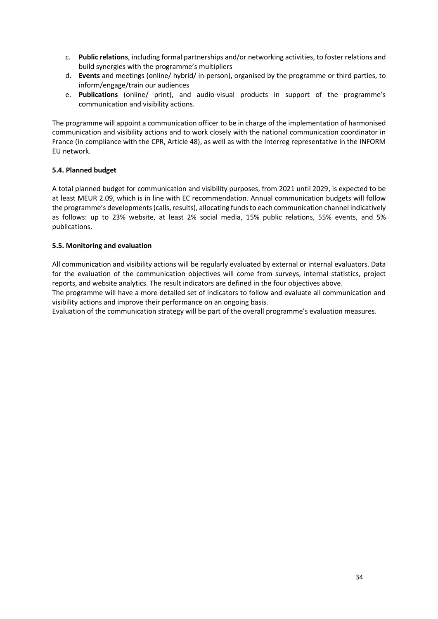- c. **Public relations**, including formal partnerships and/or networking activities, to foster relations and build synergies with the programme's multipliers
- d. **Events** and meetings (online/ hybrid/ in-person), organised by the programme or third parties, to inform/engage/train our audiences
- e. **Publications** (online/ print), and audio-visual products in support of the programme's communication and visibility actions.

The programme will appoint a communication officer to be in charge of the implementation of harmonised communication and visibility actions and to work closely with the national communication coordinator in France (in compliance with the CPR, Article 48), as well as with the Interreg representative in the INFORM EU network*.*

#### **5.4. Planned budget**

A total planned budget for communication and visibility purposes, from 2021 until 2029, is expected to be at least MEUR 2.09, which is in line with EC recommendation. Annual communication budgets will follow the programme's developments (calls, results), allocating funds to each communication channel indicatively as follows: up to 23% website, at least 2% social media, 15% public relations, 55% events, and 5% publications.

#### **5.5. Monitoring and evaluation**

All communication and visibility actions will be regularly evaluated by external or internal evaluators. Data for the evaluation of the communication objectives will come from surveys, internal statistics, project reports, and website analytics. The result indicators are defined in the four objectives above.

The programme will have a more detailed set of indicators to follow and evaluate all communication and visibility actions and improve their performance on an ongoing basis.

Evaluation of the communication strategy will be part of the overall programme's evaluation measures.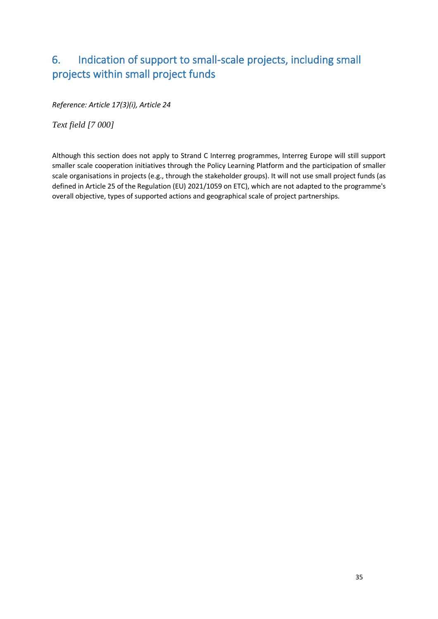# <span id="page-34-0"></span>6. Indication of support to small-scale projects, including small projects within small project funds

*Reference: Article 17(3)(i), Article 24* 

*Text field [7 000]*

Although this section does not apply to Strand C Interreg programmes, Interreg Europe will still support smaller scale cooperation initiatives through the Policy Learning Platform and the participation of smaller scale organisations in projects (e.g., through the stakeholder groups). It will not use small project funds (as defined in Article 25 of the Regulation (EU) 2021/1059 on ETC), which are not adapted to the programme's overall objective, types of supported actions and geographical scale of project partnerships.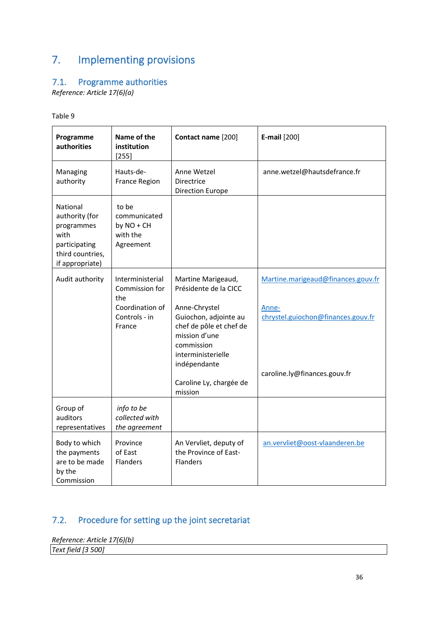# <span id="page-35-0"></span>7. Implementing provisions

# <span id="page-35-1"></span>7.1. Programme authorities

*Reference: Article 17(6)(a)*

| ٧<br><br>×<br>٧<br>× |  |
|----------------------|--|
|                      |  |

| Programme<br>authorities                                                                                 | Name of the<br>institution<br>$[255]$                                                   | Contact name [200]                                                                                                                                                                                                          | <b>E-mail</b> [200]                                                                                               |
|----------------------------------------------------------------------------------------------------------|-----------------------------------------------------------------------------------------|-----------------------------------------------------------------------------------------------------------------------------------------------------------------------------------------------------------------------------|-------------------------------------------------------------------------------------------------------------------|
| Managing<br>authority                                                                                    | Hauts-de-<br>France Region                                                              | Anne Wetzel<br>Directrice<br><b>Direction Europe</b>                                                                                                                                                                        | anne.wetzel@hautsdefrance.fr                                                                                      |
| National<br>authority (for<br>programmes<br>with<br>participating<br>third countries,<br>if appropriate) | to be<br>communicated<br>by $NO + CH$<br>with the<br>Agreement                          |                                                                                                                                                                                                                             |                                                                                                                   |
| Audit authority                                                                                          | Interministerial<br>Commission for<br>the<br>Coordination of<br>Controls - in<br>France | Martine Marigeaud,<br>Présidente de la CICC<br>Anne-Chrystel<br>Guiochon, adjointe au<br>chef de pôle et chef de<br>mission d'une<br>commission<br>interministerielle<br>indépendante<br>Caroline Ly, chargée de<br>mission | Martine.marigeaud@finances.gouv.fr<br>Anne-<br>chrystel.guiochon@finances.gouv.fr<br>caroline.ly@finances.gouv.fr |
| Group of<br>auditors<br>representatives                                                                  | info to be<br>collected with<br>the agreement                                           |                                                                                                                                                                                                                             |                                                                                                                   |
| Body to which<br>the payments<br>are to be made<br>by the<br>Commission                                  | Province<br>of East<br>Flanders                                                         | An Vervliet, deputy of<br>the Province of East-<br>Flanders                                                                                                                                                                 | an.vervliet@oost-vlaanderen.be                                                                                    |

# <span id="page-35-2"></span>7.2. Procedure for setting up the joint secretariat

*Reference: Article 17(6)(b) Text field [3 500]*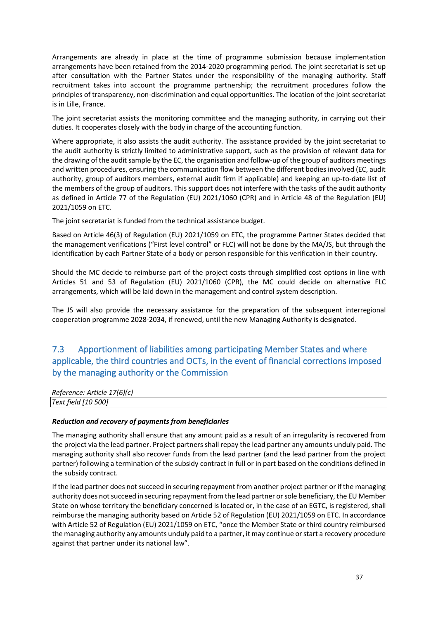Arrangements are already in place at the time of programme submission because implementation arrangements have been retained from the 2014-2020 programming period. The joint secretariat is set up after consultation with the Partner States under the responsibility of the managing authority. Staff recruitment takes into account the programme partnership; the recruitment procedures follow the principles of transparency, non-discrimination and equal opportunities. The location of the joint secretariat is in Lille, France.

The joint secretariat assists the monitoring committee and the managing authority, in carrying out their duties. It cooperates closely with the body in charge of the accounting function.

Where appropriate, it also assists the audit authority. The assistance provided by the joint secretariat to the audit authority is strictly limited to administrative support, such as the provision of relevant data for the drawing of the audit sample by the EC, the organisation and follow-up of the group of auditors meetings and written procedures, ensuring the communication flow between the different bodies involved (EC, audit authority, group of auditors members, external audit firm if applicable) and keeping an up-to-date list of the members of the group of auditors. This support does not interfere with the tasks of the audit authority as defined in Article 77 of the Regulation (EU) 2021/1060 (CPR) and in Article 48 of the Regulation (EU) 2021/1059 on ETC.

The joint secretariat is funded from the technical assistance budget.

Based on Article 46(3) of Regulation (EU) 2021/1059 on ETC, the programme Partner States decided that the management verifications ("First level control" or FLC) will not be done by the MA/JS, but through the identification by each Partner State of a body or person responsible for this verification in their country.

Should the MC decide to reimburse part of the project costs through simplified cost options in line with Articles 51 and 53 of Regulation (EU) 2021/1060 (CPR), the MC could decide on alternative FLC arrangements, which will be laid down in the management and control system description.

The JS will also provide the necessary assistance for the preparation of the subsequent interregional cooperation programme 2028-2034, if renewed, until the new Managing Authority is designated.

# <span id="page-36-0"></span>7.3 Apportionment of liabilities among participating Member States and where applicable, the third countries and OCTs, in the event of financial corrections imposed by the managing authority or the Commission

| Reference: Article 17(6)(c) |  |
|-----------------------------|--|
| Text field [10 500]         |  |
|                             |  |

#### *Reduction and recovery of payments from beneficiaries*

The managing authority shall ensure that any amount paid as a result of an irregularity is recovered from the project via the lead partner. Project partners shall repay the lead partner any amounts unduly paid. The managing authority shall also recover funds from the lead partner (and the lead partner from the project partner) following a termination of the subsidy contract in full or in part based on the conditions defined in the subsidy contract.

If the lead partner does not succeed in securing repayment from another project partner or if the managing authority does not succeed in securing repayment from the lead partner or sole beneficiary, the EU Member State on whose territory the beneficiary concerned is located or, in the case of an EGTC, is registered, shall reimburse the managing authority based on Article 52 of Regulation (EU) 2021/1059 on ETC. In accordance with Article 52 of Regulation (EU) 2021/1059 on ETC, "once the Member State or third country reimbursed the managing authority any amounts unduly paid to a partner, it may continue or start a recovery procedure against that partner under its national law".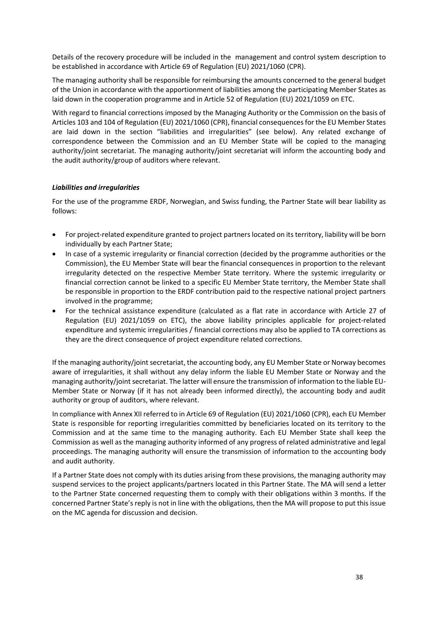Details of the recovery procedure will be included in the management and control system description to be established in accordance with Article 69 of Regulation (EU) 2021/1060 (CPR).

The managing authority shall be responsible for reimbursing the amounts concerned to the general budget of the Union in accordance with the apportionment of liabilities among the participating Member States as laid down in the cooperation programme and in Article 52 of Regulation (EU) 2021/1059 on ETC.

With regard to financial corrections imposed by the Managing Authority or the Commission on the basis of Articles 103 and 104 of Regulation (EU) 2021/1060 (CPR), financial consequences for the EU Member States are laid down in the section "liabilities and irregularities" (see below). Any related exchange of correspondence between the Commission and an EU Member State will be copied to the managing authority/joint secretariat. The managing authority/joint secretariat will inform the accounting body and the audit authority/group of auditors where relevant.

#### *Liabilities and irregularities*

For the use of the programme ERDF, Norwegian, and Swiss funding, the Partner State will bear liability as follows:

- For project-related expenditure granted to project partners located on its territory, liability will be born individually by each Partner State;
- In case of a systemic irregularity or financial correction (decided by the programme authorities or the Commission), the EU Member State will bear the financial consequences in proportion to the relevant irregularity detected on the respective Member State territory. Where the systemic irregularity or financial correction cannot be linked to a specific EU Member State territory, the Member State shall be responsible in proportion to the ERDF contribution paid to the respective national project partners involved in the programme;
- For the technical assistance expenditure (calculated as a flat rate in accordance with Article 27 of Regulation (EU) 2021/1059 on ETC), the above liability principles applicable for project-related expenditure and systemic irregularities / financial corrections may also be applied to TA corrections as they are the direct consequence of project expenditure related corrections.

If the managing authority/joint secretariat, the accounting body, any EU Member State or Norway becomes aware of irregularities, it shall without any delay inform the liable EU Member State or Norway and the managing authority/joint secretariat. The latter will ensure the transmission of information to the liable EU-Member State or Norway (if it has not already been informed directly), the accounting body and audit authority or group of auditors, where relevant.

In compliance with Annex XII referred to in Article 69 of Regulation (EU) 2021/1060 (CPR), each EU Member State is responsible for reporting irregularities committed by beneficiaries located on its territory to the Commission and at the same time to the managing authority. Each EU Member State shall keep the Commission as well as the managing authority informed of any progress of related administrative and legal proceedings. The managing authority will ensure the transmission of information to the accounting body and audit authority.

If a Partner State does not comply with its duties arising from these provisions, the managing authority may suspend services to the project applicants/partners located in this Partner State. The MA will send a letter to the Partner State concerned requesting them to comply with their obligations within 3 months. If the concerned Partner State'sreply is not in line with the obligations, then the MA will propose to put this issue on the MC agenda for discussion and decision.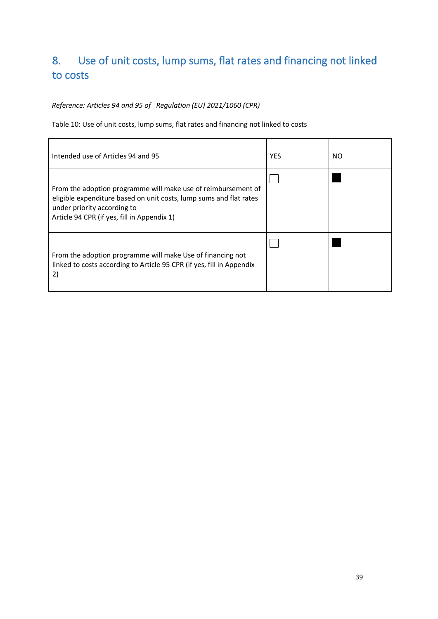# <span id="page-38-0"></span>8. Use of unit costs, lump sums, flat rates and financing not linked to costs

# *Reference: Articles 94 and 95 of Regulation (EU) 2021/1060 (CPR)*

Table 10: Use of unit costs, lump sums, flat rates and financing not linked to costs

| Intended use of Articles 94 and 95                                                                                                                                                                                | <b>YES</b> | NO. |
|-------------------------------------------------------------------------------------------------------------------------------------------------------------------------------------------------------------------|------------|-----|
| From the adoption programme will make use of reimbursement of<br>eligible expenditure based on unit costs, lump sums and flat rates<br>under priority according to<br>Article 94 CPR (if yes, fill in Appendix 1) |            |     |
| From the adoption programme will make Use of financing not<br>linked to costs according to Article 95 CPR (if yes, fill in Appendix<br>2)                                                                         |            |     |